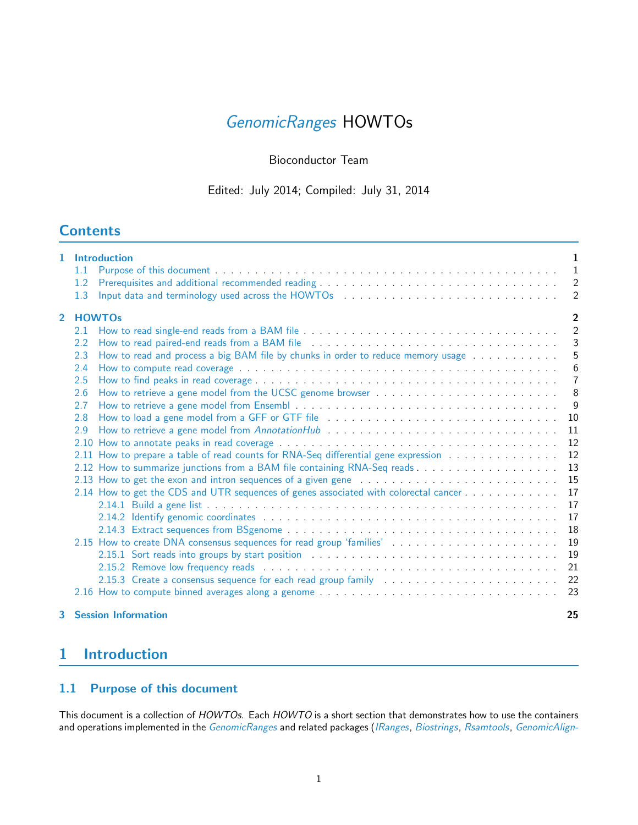# [GenomicRanges](http://bioconductor.org/packages/release/bioc/html/GenomicRanges.html) HOWTOs

Bioconductor Team

## Edited: July 2014; Compiled: July 31, 2014

# **Contents**

| 1.             |     | <b>Introduction</b>                                                                                                                                                                                                            | 1              |
|----------------|-----|--------------------------------------------------------------------------------------------------------------------------------------------------------------------------------------------------------------------------------|----------------|
|                | 1.1 |                                                                                                                                                                                                                                | $\overline{1}$ |
|                | 1.2 |                                                                                                                                                                                                                                | $\overline{2}$ |
|                | 1.3 |                                                                                                                                                                                                                                | $\overline{2}$ |
| $\overline{2}$ |     | <b>HOWTOs</b>                                                                                                                                                                                                                  | $\overline{2}$ |
|                | 2.1 |                                                                                                                                                                                                                                | $\overline{2}$ |
|                | 2.2 | How to read paired-end reads from a BAM file entitled and contact and contact and contact the state of the How to read paired-end reads from a BAM file entitled and contact and contact and the state of the state of the sta | 3              |
|                | 2.3 | How to read and process a big BAM file by chunks in order to reduce memory usage                                                                                                                                               | 5              |
|                | 2.4 |                                                                                                                                                                                                                                | 6              |
|                | 2.5 |                                                                                                                                                                                                                                | $\overline{7}$ |
|                | 2.6 |                                                                                                                                                                                                                                | 8              |
|                | 2.7 |                                                                                                                                                                                                                                | 9              |
|                | 2.8 | How to load a gene model from a GFF or GTF file                                                                                                                                                                                | 10             |
|                | 2.9 |                                                                                                                                                                                                                                | 11             |
|                |     |                                                                                                                                                                                                                                | 12             |
|                |     | 2.11 How to prepare a table of read counts for RNA-Seq differential gene expression                                                                                                                                            | 12             |
|                |     |                                                                                                                                                                                                                                | 13             |
|                |     |                                                                                                                                                                                                                                | 15             |
|                |     | 2.14 How to get the CDS and UTR sequences of genes associated with colorectal cancer                                                                                                                                           | 17             |
|                |     |                                                                                                                                                                                                                                | 17             |
|                |     |                                                                                                                                                                                                                                | 17             |
|                |     |                                                                                                                                                                                                                                | 18             |
|                |     | 2.15 How to create DNA consensus sequences for read group 'families'                                                                                                                                                           | 19             |
|                |     |                                                                                                                                                                                                                                | 19             |
|                |     |                                                                                                                                                                                                                                | 21             |
|                |     |                                                                                                                                                                                                                                | 22             |
|                |     |                                                                                                                                                                                                                                | 23             |
|                |     | <b>3</b> Session Information                                                                                                                                                                                                   | 25             |

# <span id="page-0-0"></span>1 Introduction

# <span id="page-0-1"></span>1.1 Purpose of this document

This document is a collection of HOWTOs. Each HOWTO is a short section that demonstrates how to use the containers and operations implemented in the [GenomicRanges](http://bioconductor.org/packages/release/bioc/html/GenomicRanges.html) and related packages ([IRanges](http://bioconductor.org/packages/release/bioc/html/IRanges.html), [Biostrings](http://bioconductor.org/packages/release/bioc/html/Biostrings.html), [Rsamtools](http://bioconductor.org/packages/release/bioc/html/Rsamtools.html), [GenomicAlign-](http://bioconductor.org/packages/release/bioc/html/GenomicAlignments.html)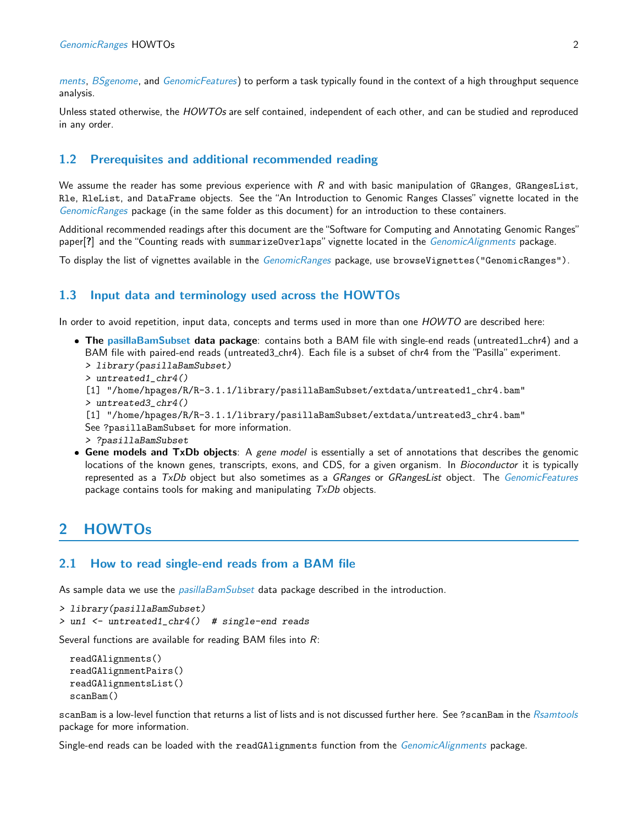[ments](http://bioconductor.org/packages/release/bioc/html/GenomicAlignments.html), [BSgenome](http://bioconductor.org/packages/release/bioc/html/BSgenome.html), and [GenomicFeatures](http://bioconductor.org/packages/release/bioc/html/GenomicFeatures.html)) to perform a task typically found in the context of a high throughput sequence analysis.

Unless stated otherwise, the HOWTOs are self contained, independent of each other, and can be studied and reproduced in any order.

### <span id="page-1-0"></span>1.2 Prerequisites and additional recommended reading

We assume the reader has some previous experience with  $R$  and with basic manipulation of GRanges, GRangesList, Rle, RleList, and DataFrame objects. See the "An Introduction to Genomic Ranges Classes" vignette located in the [GenomicRanges](http://bioconductor.org/packages/release/bioc/html/GenomicRanges.html) package (in the same folder as this document) for an introduction to these containers.

Additional recommended readings after this document are the"Software for Computing and Annotating Genomic Ranges" paper<sup>[?]</sup> and the "Counting reads with summarizeOverlaps" vignette located in the *[GenomicAlignments](http://bioconductor.org/packages/release/bioc/html/GenomicAlignments.html)* package.

To display the list of vignettes available in the [GenomicRanges](http://bioconductor.org/packages/release/bioc/html/GenomicRanges.html) package, use browseVignettes("GenomicRanges").

### <span id="page-1-1"></span>1.3 Input data and terminology used across the HOWTOs

In order to avoid repetition, input data, concepts and terms used in more than one HOWTO are described here:

- **The [pasillaBamSubset](http://bioconductor.org/packages/release/bioc/html/pasillaBamSubset.html) data package**: contains both a BAM file with single-end reads (untreated1\_chr4) and a BAM file with paired-end reads (untreated3 chr4). Each file is a subset of chr4 from the "Pasilla" experiment.
	- > library(pasillaBamSubset)
	- > untreated1\_chr4()

```
[1] "/home/hpages/R/R-3.1.1/library/pasillaBamSubset/extdata/untreated1_chr4.bam"
```
- > untreated3\_chr4()
- [1] "/home/hpages/R/R-3.1.1/library/pasillaBamSubset/extdata/untreated3\_chr4.bam"

See ?pasillaBamSubset for more information.

- > ?pasillaBamSubset
- **Gene models and TxDb objects**: A gene model is essentially a set of annotations that describes the genomic locations of the known genes, transcripts, exons, and CDS, for a given organism. In Bioconductor it is typically represented as a TxDb object but also sometimes as a GRanges or GRangesList object. The [GenomicFeatures](http://bioconductor.org/packages/release/bioc/html/GenomicFeatures.html) package contains tools for making and manipulating  $TxDb$  objects.

## <span id="page-1-2"></span>2 HOWTOs

#### <span id="page-1-3"></span>2.1 How to read single-end reads from a BAM file

As sample data we use the *[pasillaBamSubset](http://bioconductor.org/packages/release/bioc/html/pasillaBamSubset.html)* data package described in the introduction.

```
> library(pasillaBamSubset)
```

```
> un1 <- untreated1_chr4() # single-end reads
```
Several functions are available for reading BAM files into  $R$ :

```
readGAlignments()
readGAlignmentPairs()
readGAlignmentsList()
scanBam()
```
scanBam is a low-level function that returns a list of lists and is not discussed further here. See ?scanBam in the [Rsamtools](http://bioconductor.org/packages/release/bioc/html/Rsamtools.html) package for more information.

Single-end reads can be loaded with the readGAlignments function from the [GenomicAlignments](http://bioconductor.org/packages/release/bioc/html/GenomicAlignments.html) package.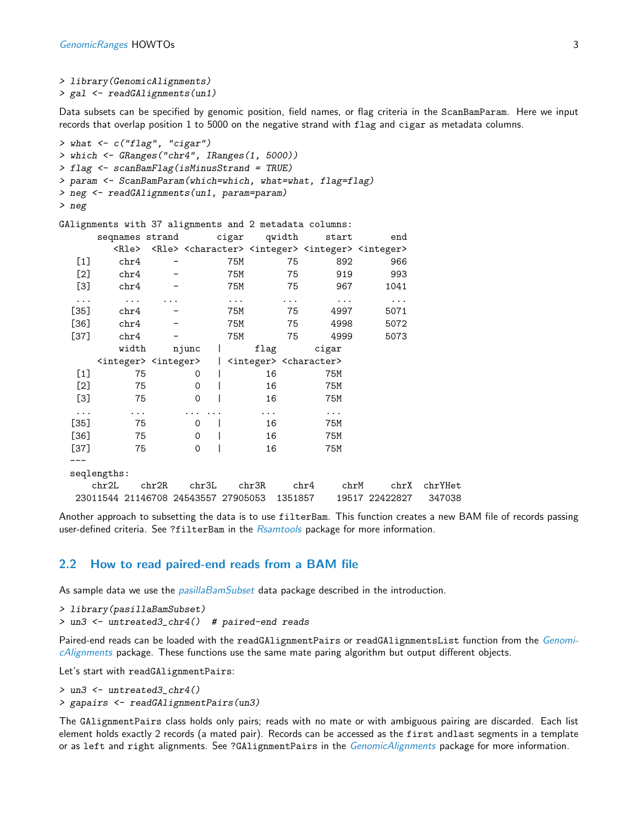```
> library(GenomicAlignments)
> gal <- readGAlignments(un1)
```
Data subsets can be specified by genomic position, field names, or flag criteria in the ScanBamParam. Here we input records that overlap position 1 to 5000 on the negative strand with flag and cigar as metadata columns.

```
> what <- c("flag", "cigar")
> which <- GRanges("chr4", IRanges(1, 5000))
> flag <- scanBamFlag(isMinusStrand = TRUE)
> param <- ScanBamParam(which=which, what=what, flag=flag)
> neg <- readGAlignments(un1, param=param)
> neg
GAlignments with 37 alignments and 2 metadata columns:
    seqnames strand cigar qwidth start end
      <Rle> <Rle> <character> <integer> <integer> <integer>
  [1] chr4 - 75M 75 892 966
  [2] chr4 - 75M 75 919 993
  [3] chr4 - 75M 75 967 1041
  ... ... ... ... ... ... ...
 [35] chr4 - 75M 75 4997 5071
 [36] chr4 - 75M 75 4998 5072
 [37] chr4 - 75M 75 4999 5073
       width njunc | flag cigar
    <integer> <integer> | <integer> <character>
  [1] 75 0 | 16 75M
  [2] 75 0 | 16 75M
  [3] 75 0 | 16 75M
  ... ... ... ... ... ...
 [35] 75 0 | 16 75M
 [36] 75 0 | 16 75M
 [37] 75 0 | 16 75M
 ---
 seqlengths:
   chr2L chr2R chr3L chr3R chr4 chrM chrX chrYHet
 23011544 21146708 24543557 27905053 1351857 19517 22422827 347038
```
Another approach to subsetting the data is to use filterBam. This function creates a new BAM file of records passing user-defined criteria. See ?filterBam in the [Rsamtools](http://bioconductor.org/packages/release/bioc/html/Rsamtools.html) package for more information.

#### <span id="page-2-0"></span>2.2 How to read paired-end reads from a BAM file

As sample data we use the *[pasillaBamSubset](http://bioconductor.org/packages/release/bioc/html/pasillaBamSubset.html)* data package described in the introduction.

```
> library(pasillaBamSubset)
```
> un3 <- untreated3\_chr4() # paired-end reads

Paired-end reads can be loaded with the readGAlignmentPairs or readGAlignmentsList function from the [Genomi](http://bioconductor.org/packages/release/bioc/html/GenomicAlignments.html)[cAlignments](http://bioconductor.org/packages/release/bioc/html/GenomicAlignments.html) package. These functions use the same mate paring algorithm but output different objects.

Let's start with readGAlignmentPairs:

```
> un3 <- untreated3_chr4()
```
> gapairs <- readGAlignmentPairs(un3)

The GAlignmentPairs class holds only pairs; reads with no mate or with ambiguous pairing are discarded. Each list element holds exactly 2 records (a mated pair). Records can be accessed as the first andlast segments in a template or as left and right alignments. See ?GAlignmentPairs in the [GenomicAlignments](http://bioconductor.org/packages/release/bioc/html/GenomicAlignments.html) package for more information.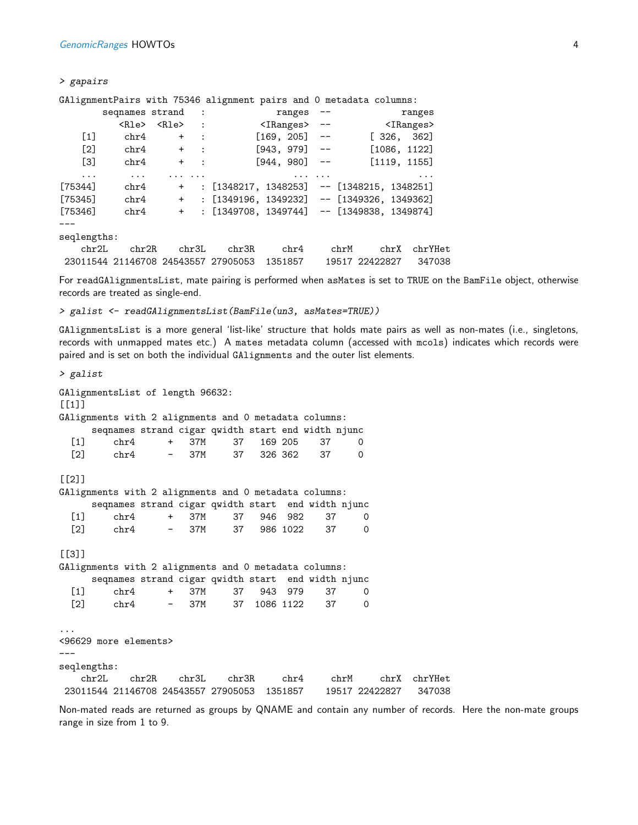#### > gapairs

GAlignmentPairs with 75346 alignment pairs and 0 metadata columns:

|                   | segnames strand | $\ddot{\cdot}$                    |                                                | ranges                |      |                | ranges                      |
|-------------------|-----------------|-----------------------------------|------------------------------------------------|-----------------------|------|----------------|-----------------------------|
|                   | <rle></rle>     | $\langle$ Rle> :                  |                                                | $\langle$ IRanges> -- |      |                | $\langle$ IRanges $\rangle$ |
| $\lceil 1 \rceil$ | chr4            | $\ddot{}$<br>$\ddot{\phantom{a}}$ |                                                | $[169, 205]$ --       |      | [326, 362]     |                             |
| $\lceil 2 \rceil$ | chr4            | $+$<br>$\ddot{\phantom{a}}$       |                                                | $[943, 979]$ --       |      | [1086, 1122]   |                             |
| $\lceil 3 \rceil$ | chr4            | $+$<br>$\ddot{\cdot}$             |                                                | $[944, 980]$ --       |      | [1119, 1155]   |                             |
| $\ddots$          | .               |                                   |                                                |                       |      |                |                             |
| [75344]           | chr4            | $\ddot{}$                         | : $[1348217, 1348253]$ -- $[1348215, 1348251]$ |                       |      |                |                             |
| [75345]           | chr4            | $+$                               | $:[1349196, 1349232]$ -- $[1349326, 1349362]$  |                       |      |                |                             |
| [75346]           | chr4            | $\ddot{}$                         | $: [1349708, 1349744]$ -- [1349838, 1349874]   |                       |      |                |                             |
|                   |                 |                                   |                                                |                       |      |                |                             |
| seqlengths:       |                 |                                   |                                                |                       |      |                |                             |
| chr2L             | chr2R           | chr3L                             | chr3R                                          | chr4                  | chrM | chrX           | chrYHet                     |
|                   |                 |                                   | 23011544 21146708 24543557 27905053            | 1351857               |      | 19517 22422827 | 347038                      |

For readGAlignmentsList, mate pairing is performed when asMates is set to TRUE on the BamFile object, otherwise records are treated as single-end.

> galist <- readGAlignmentsList(BamFile(un3, asMates=TRUE))

GAlignmentsList is a more general 'list-like' structure that holds mate pairs as well as non-mates (i.e., singletons, records with unmapped mates etc.) A mates metadata column (accessed with mcols) indicates which records were paired and is set on both the individual GAlignments and the outer list elements.

#### > galist

GAlignmentsList of length 96632:  $[[1]$ GAlignments with 2 alignments and 0 metadata columns: seqnames strand cigar qwidth start end width njunc [1] chr4 + 37M 37 169 205 37 0 [2] chr4 - 37M 37 326 362 37 0 [[2]] GAlignments with 2 alignments and 0 metadata columns: seqnames strand cigar qwidth start end width njunc [1] chr4 + 37M 37 946 982 37 0 [2] chr4 - 37M 37 986 1022 37 0  $[$ [3]] GAlignments with 2 alignments and 0 metadata columns: seqnames strand cigar qwidth start end width njunc [1] chr4 + 37M 37 943 979 37 0 [2] chr4 - 37M 37 1086 1122 37 0 ... <96629 more elements> -- seqlengths: chr2L chr2R chr3L chr3R chr4 chrM chrX chrYHet

23011544 21146708 24543557 27905053 1351857 19517 22422827 347038

Non-mated reads are returned as groups by QNAME and contain any number of records. Here the non-mate groups range in size from 1 to 9.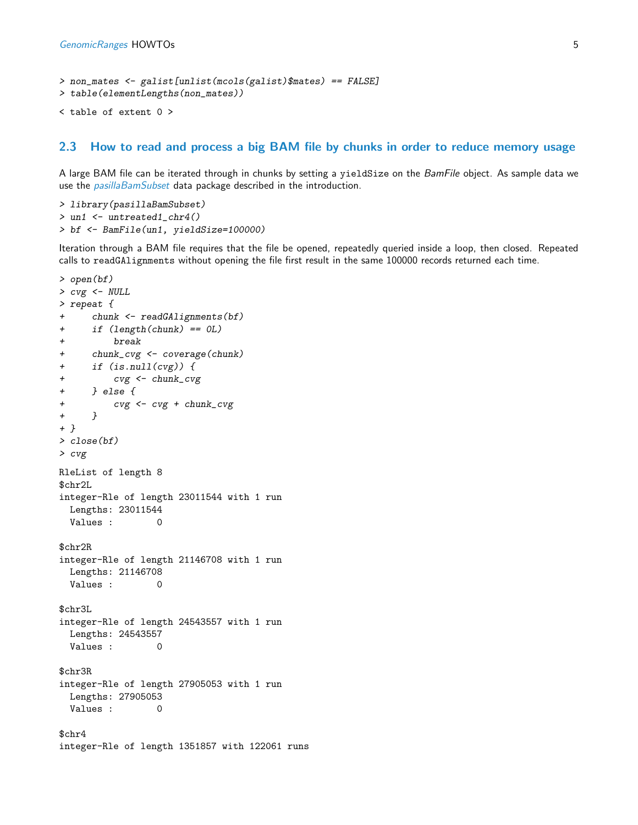```
> non_mates <- galist[unlist(mcols(galist)$mates) == FALSE]
> table(elementLengths(non_mates))
< table of extent 0 >
```
#### <span id="page-4-0"></span>2.3 How to read and process a big BAM file by chunks in order to reduce memory usage

A large BAM file can be iterated through in chunks by setting a yieldSize on the BamFile object. As sample data we use the *[pasillaBamSubset](http://bioconductor.org/packages/release/bioc/html/pasillaBamSubset.html)* data package described in the introduction.

```
> library(pasillaBamSubset)
> un1 <- untreated1_chr4()
> bf <- BamFile(un1, yieldSize=100000)
```
Iteration through a BAM file requires that the file be opened, repeatedly queried inside a loop, then closed. Repeated calls to readGAlignments without opening the file first result in the same 100000 records returned each time.

```
> open(bf)
> cvg <- NULL
> repeat {
+ chunk <- readGAlignments(bf)
+ if (length(chunk) == 0L)
+ break
+ chunk_cvg <- coverage(chunk)
+ if (is.null(cvg)) {
+ cvg <- chunk_cvg
+ } else {
+ cvg <- cvg + chunk_cvg
+ }
+ }
> close(bf)
> cvg
RleList of length 8
$chr2L
integer-Rle of length 23011544 with 1 run
 Lengths: 23011544
 Values : 0
$chr2R
integer-Rle of length 21146708 with 1 run
 Lengths: 21146708
 Values : 0
$chr3L
integer-Rle of length 24543557 with 1 run
 Lengths: 24543557
 Values : 0
$chr3R
integer-Rle of length 27905053 with 1 run
 Lengths: 27905053
 Values : 0
$chr4
integer-Rle of length 1351857 with 122061 runs
```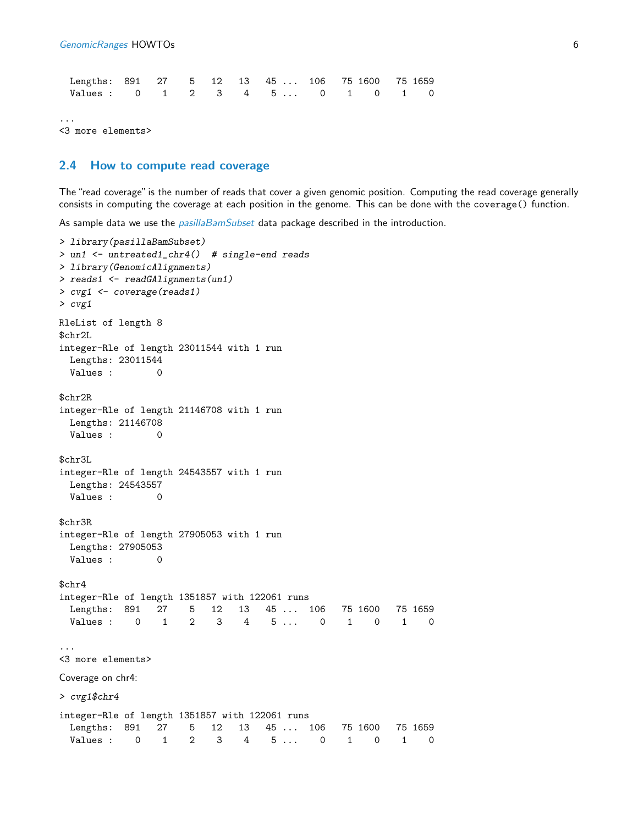| Lengths: 891 27 5 12 13 45 106 75 1600 75 1659 |  |  |  |  |  |  |
|------------------------------------------------|--|--|--|--|--|--|
| Values: 0 1 2 3 4 5 0 1 0 1 0                  |  |  |  |  |  |  |

...

<3 more elements>

#### <span id="page-5-0"></span>2.4 How to compute read coverage

The "read coverage" is the number of reads that cover a given genomic position. Computing the read coverage generally consists in computing the coverage at each position in the genome. This can be done with the coverage() function.

As sample data we use the *[pasillaBamSubset](http://bioconductor.org/packages/release/bioc/html/pasillaBamSubset.html)* data package described in the introduction.

```
> library(pasillaBamSubset)
> un1 <- untreated1_chr4() # single-end reads
> library(GenomicAlignments)
> reads1 <- readGAlignments(un1)
> cvg1 <- coverage(reads1)
> cvg1
RleList of length 8
$chr2L
integer-Rle of length 23011544 with 1 run
 Lengths: 23011544
 Values : 0
$chr2R
integer-Rle of length 21146708 with 1 run
 Lengths: 21146708
 Values : 0
$chr3L
integer-Rle of length 24543557 with 1 run
 Lengths: 24543557
 Values : 0
$chr3R
integer-Rle of length 27905053 with 1 run
 Lengths: 27905053
 Values : 0
$chr4
integer-Rle of length 1351857 with 122061 runs
 Lengths: 891 27 5 12 13 45 ... 106 75 1600 75 1659
 Values : 0 1 2 3 4 5... 0 1 0 1 0
...
<3 more elements>
Coverage on chr4:
> cvg1$chr4
integer-Rle of length 1351857 with 122061 runs
 Lengths: 891 27 5 12 13 45 ... 106 75 1600 75 1659
 Values : 0 1 2 3 4 5... 0 1 0 1 0
```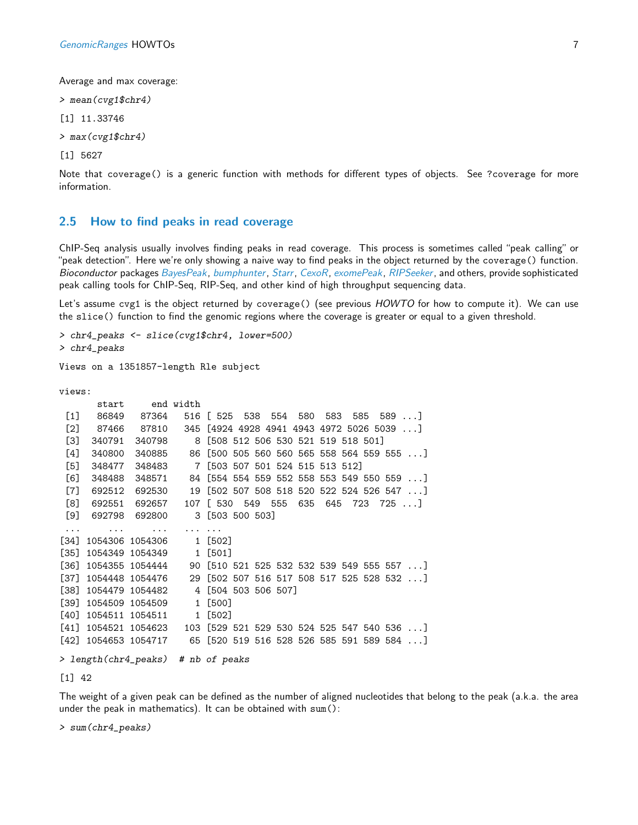Average and max coverage:

> mean(cvg1\$chr4)

[1] 11.33746

> max(cvg1\$chr4)

[1] 5627

Note that coverage() is a generic function with methods for different types of objects. See ?coverage for more information.

### <span id="page-6-0"></span>2.5 How to find peaks in read coverage

ChIP-Seq analysis usually involves finding peaks in read coverage. This process is sometimes called "peak calling" or "peak detection". Here we're only showing a naive way to find peaks in the object returned by the coverage() function. Bioconductor packages [BayesPeak](http://bioconductor.org/packages/release/bioc/html/BayesPeak.html), [bumphunter](http://bioconductor.org/packages/release/bioc/html/bumphunter.html), [Starr](http://bioconductor.org/packages/release/bioc/html/Starr.html), [CexoR](http://bioconductor.org/packages/release/bioc/html/CexoR.html), [exomePeak](http://bioconductor.org/packages/release/bioc/html/exomePeak.html), [RIPSeeker](http://bioconductor.org/packages/release/bioc/html/RIPSeeker.html), and others, provide sophisticated peak calling tools for ChIP-Seq, RIP-Seq, and other kind of high throughput sequencing data.

Let's assume cvg1 is the object returned by coverage() (see previous HOWTO for how to compute it). We can use the slice() function to find the genomic regions where the coverage is greater or equal to a given threshold.

```
> chr4_peaks <- slice(cvg1$chr4, lower=500)
> chr4_peaks
```
Views on a 1351857-length Rle subject

```
views:
```

|        | start                |                 | end width |                                            |
|--------|----------------------|-----------------|-----------|--------------------------------------------|
| $[1]$  | 86849                | 87364           |           | 516 [ 525 538 554 580<br>583<br>585<br>589 |
| [2]    | 87466                | 87810           |           | 345 [4924 4928 4941 4943 4972 5026 5039 ]  |
| [3]    | 340791               | 340798          | 8         | [508 512 506 530 521 519 518 501]          |
| $[4]$  | 340800               | 340885          |           | 86 [500 505 560 560 565 558 564 559 555 ]  |
| [5]    | 348477               | 348483          |           | 7 [503 507 501 524 515 513 512]            |
| [6]    | 348488               | 348571          |           | 84 [554 554 559 552 558 553 549 550 559 ]  |
| $[7]$  | 692512               | 692530          |           | 19 [502 507 508 518 520 522 524 526 547 ]  |
| [8]    | 692551               | 692657          | 107       | [530 549 555 635 645]<br>723 725 ]         |
| [9]    | 692798               | 692800          |           | 3 [503 500 503]                            |
| .      |                      |                 | $\cdots$  |                                            |
| [34]   | 1054306 1054306      |                 |           | 1 [502]                                    |
| $[35]$ |                      | 1054349 1054349 |           | 1 [501]                                    |
| $[36]$ |                      | 1054355 1054444 |           | 90 [510 521 525 532 532 539 549 555 557 ]  |
| [37]   |                      | 1054448 1054476 |           | 29 [502 507 516 517 508 517 525 528 532 ]  |
| [38]   |                      | 1054479 1054482 |           | 4 [504 503 506 507]                        |
| $[39]$ |                      | 1054509 1054509 |           | 1 [500]                                    |
| [40]   |                      | 1054511 1054511 |           | 1 [502]                                    |
| [41]   |                      | 1054521 1054623 |           | 103 [529 521 529 530 524 525 547 540 536 ] |
|        | [42] 1054653 1054717 |                 |           | 65 [520 519 516 528 526 585 591 589 584 ]  |
|        |                      |                 |           | > length(chr4_peaks) # nb of peaks         |

[1] 42

The weight of a given peak can be defined as the number of aligned nucleotides that belong to the peak (a.k.a. the area under the peak in mathematics). It can be obtained with sum():

> sum(chr4\_peaks)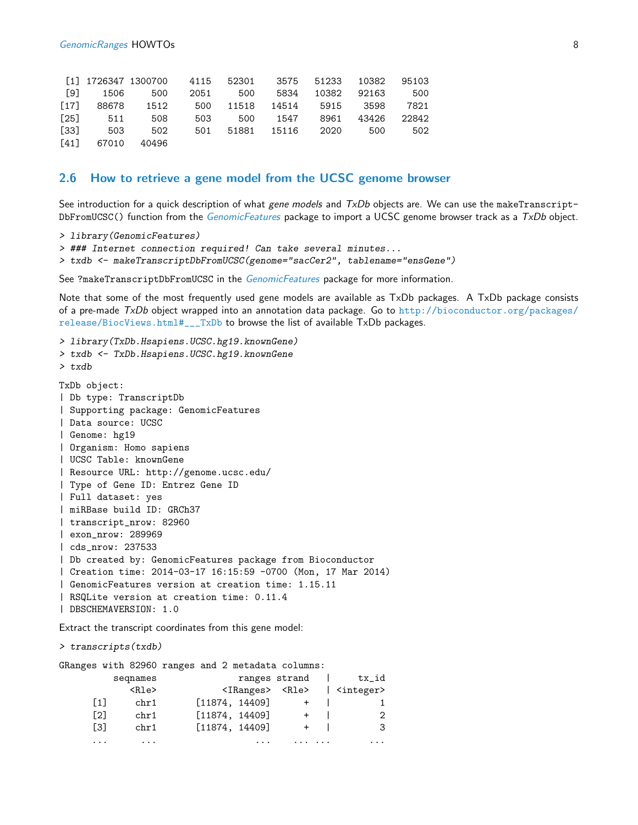|      |                                        | [1] 1726347 1300700   4115   52301   3575   51233   10382   95103 |     |                          |          |                      |                  |     |
|------|----------------------------------------|-------------------------------------------------------------------|-----|--------------------------|----------|----------------------|------------------|-----|
|      | [9] 1506 500                           |                                                                   |     | 2051 500                 |          | 5834 10382 92163 500 |                  |     |
|      |                                        | $[17]$ 88678 1512 500 11518 14514 5915 3598 7821                  |     |                          |          |                      |                  |     |
|      | $\begin{bmatrix} 25 \end{bmatrix}$ 511 | 508                                                               | 503 |                          | 500 1547 |                      | 8961 43426 22842 |     |
| [33] | 503                                    | 502                                                               |     | 501 51881 15116 2020 500 |          |                      |                  | 502 |
|      | [41] 67010 40496                       |                                                                   |     |                          |          |                      |                  |     |

### <span id="page-7-0"></span>2.6 How to retrieve a gene model from the UCSC genome browser

See introduction for a quick description of what gene models and  $TxDb$  objects are. We can use the makeTranscript-DbFromUCSC() function from the [GenomicFeatures](http://bioconductor.org/packages/release/bioc/html/GenomicFeatures.html) package to import a UCSC genome browser track as a TxDb object.

> library(GenomicFeatures)

> ### Internet connection required! Can take several minutes...

> txdb <- makeTranscriptDbFromUCSC(genome="sacCer2", tablename="ensGene")

See ?makeTranscriptDbFromUCSC in the *[GenomicFeatures](http://bioconductor.org/packages/release/bioc/html/GenomicFeatures.html)* package for more information.

Note that some of the most frequently used gene models are available as TxDb packages. A TxDb package consists of a pre-made TxDb object wrapped into an annotation data package. Go to [http://bioconductor.org/packages/](http://bioconductor.org/packages/release/BiocViews.html#___TxDb) [release/BiocViews.html#\\_\\_\\_TxDb](http://bioconductor.org/packages/release/BiocViews.html#___TxDb) to browse the list of available TxDb packages.

> library(TxDb.Hsapiens.UCSC.hg19.knownGene)

> txdb <- TxDb.Hsapiens.UCSC.hg19.knownGene

```
> txdb
```
TxDb object: | Db type: TranscriptDb | Supporting package: GenomicFeatures | Data source: UCSC | Genome: hg19 | Organism: Homo sapiens | UCSC Table: knownGene | Resource URL: http://genome.ucsc.edu/ | Type of Gene ID: Entrez Gene ID | Full dataset: yes | miRBase build ID: GRCh37 | transcript\_nrow: 82960 | exon\_nrow: 289969 | cds\_nrow: 237533 | Db created by: GenomicFeatures package from Bioconductor | Creation time: 2014-03-17 16:15:59 -0700 (Mon, 17 Mar 2014) | GenomicFeatures version at creation time: 1.15.11 | RSQLite version at creation time: 0.11.4 | DBSCHEMAVERSION: 1.0

Extract the transcript coordinates from this gene model:

> transcripts(txdb)

GRanges with 82960 ranges and 2 metadata columns:

| $tx_id$             | ranges strand |                                 | segnames |                   |
|---------------------|---------------|---------------------------------|----------|-------------------|
| <integer></integer> |               | <iranges> <rle></rle></iranges> | R        |                   |
|                     |               | [11874, 14409]                  | chr1     | $\lceil 1 \rceil$ |
| 2                   | $+$           | [11874, 14409]                  | chr1     | $\lceil 2 \rceil$ |
| 3                   |               | [11874, 14409]                  | chr1     | [3]               |
| .                   |               | $\cdots$                        | $\cdots$ | $\cdots$          |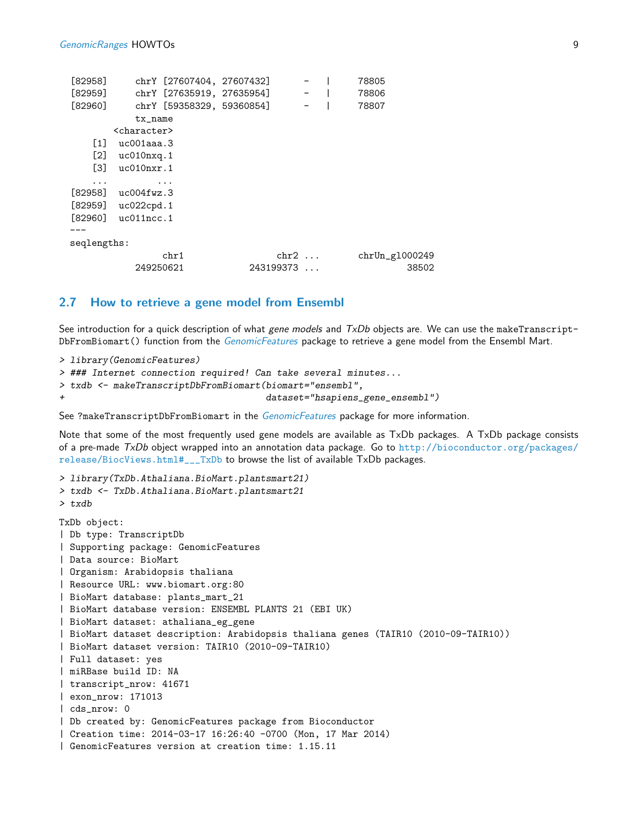| $[82958]$         | chrY [27607404, 27607432] |           |               | 78805            |  |
|-------------------|---------------------------|-----------|---------------|------------------|--|
| [82959]           | chrY [27635919, 27635954] |           |               | 78806            |  |
| [82960]           | chrY [59358329, 59360854] |           |               | 78807            |  |
|                   | $tx_name$                 |           |               |                  |  |
|                   | <character></character>   |           |               |                  |  |
| $\lceil 1 \rceil$ | $uc001$ aaa. $3$          |           |               |                  |  |
| $[2]$             | uc010nxq.1                |           |               |                  |  |
| [3]               | uc010nxr.1                |           |               |                  |  |
| .                 | $\cdots$                  |           |               |                  |  |
| [82958]           | $uc004f$ wz.3             |           |               |                  |  |
| [82959]           | uc022cpd.1                |           |               |                  |  |
| [82960]           | uc011ncc.1                |           |               |                  |  |
|                   |                           |           |               |                  |  |
| seqlengths:       |                           |           |               |                  |  |
|                   | chr1                      |           | $chr2 \ldots$ | $chrUn_g1000249$ |  |
|                   | 249250621                 | 243199373 |               | 38502            |  |

### <span id="page-8-0"></span>2.7 How to retrieve a gene model from Ensembl

See introduction for a quick description of what gene models and  $TxDb$  objects are. We can use the makeTranscript-DbFromBiomart() function from the [GenomicFeatures](http://bioconductor.org/packages/release/bioc/html/GenomicFeatures.html) package to retrieve a gene model from the Ensembl Mart.

```
> library(GenomicFeatures)
> ### Internet connection required! Can take several minutes...
> txdb <- makeTranscriptDbFromBiomart(biomart="ensembl",
+ dataset="hsapiens_gene_ensembl")
```
See ?makeTranscriptDbFromBiomart in the *[GenomicFeatures](http://bioconductor.org/packages/release/bioc/html/GenomicFeatures.html)* package for more information.

Note that some of the most frequently used gene models are available as TxDb packages. A TxDb package consists of a pre-made TxDb object wrapped into an annotation data package. Go to [http://bioconductor.org/packages/](http://bioconductor.org/packages/release/BiocViews.html#___TxDb) [release/BiocViews.html#\\_\\_\\_TxDb](http://bioconductor.org/packages/release/BiocViews.html#___TxDb) to browse the list of available TxDb packages.

```
> library(TxDb.Athaliana.BioMart.plantsmart21)
> txdb <- TxDb.Athaliana.BioMart.plantsmart21
> txdb
TxDb object:
| Db type: TranscriptDb
| Supporting package: GenomicFeatures
| Data source: BioMart
| Organism: Arabidopsis thaliana
| Resource URL: www.biomart.org:80
| BioMart database: plants_mart_21
| BioMart database version: ENSEMBL PLANTS 21 (EBI UK)
| BioMart dataset: athaliana_eg_gene
| BioMart dataset description: Arabidopsis thaliana genes (TAIR10 (2010-09-TAIR10))
| BioMart dataset version: TAIR10 (2010-09-TAIR10)
| Full dataset: yes
| miRBase build ID: NA
| transcript_nrow: 41671
| exon_nrow: 171013
| cds_nrow: 0
| Db created by: GenomicFeatures package from Bioconductor
| Creation time: 2014-03-17 16:26:40 -0700 (Mon, 17 Mar 2014)
| GenomicFeatures version at creation time: 1.15.11
```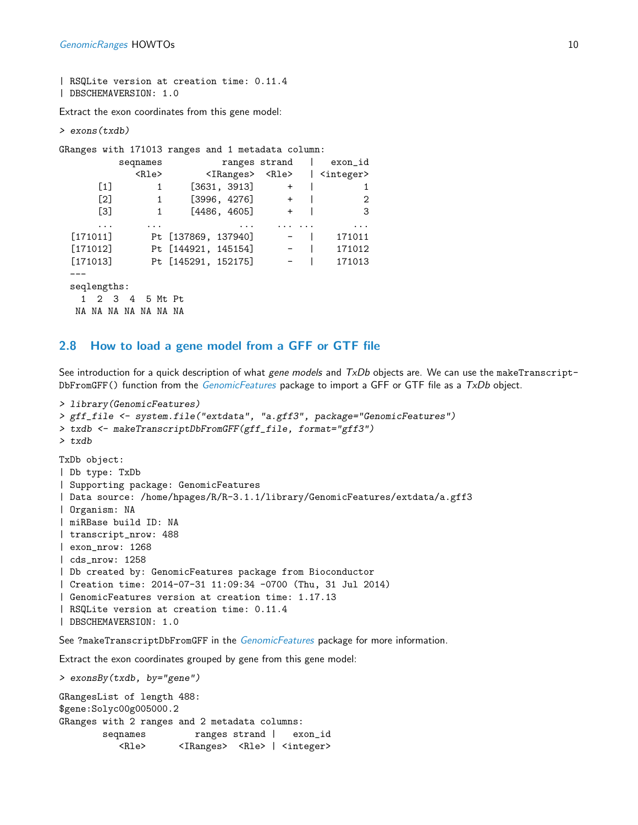| RSQLite version at creation time: 0.11.4 | DBSCHEMAVERSION: 1.0

Extract the exon coordinates from this gene model:

```
> exons(txdb)
```

```
GRanges with 171013 ranges and 1 metadata column:
       seqnames ranges strand | exon_id
         <Rle> <IRanges> <Rle> | <integer>
    [1] 1 [3631, 3913] + | 1
    [2] 1 [3996, 4276] + | 2
    [3] 1 [4486, 4605] + | 3
    ... ... ... ... ... ...
 [171011] Pt [137869, 137940] - | 171011
 [171012] Pt [144921, 145154] - | 171012
 [171013] Pt [145291, 152175] - | 171013
 ---
 seqlengths:
```
1 2 3 4 5 Mt Pt

NA NA NA NA NA NA NA

### <span id="page-9-0"></span>2.8 How to load a gene model from a GFF or GTF file

See introduction for a quick description of what gene models and  $TxDb$  objects are. We can use the makeTranscript-DbFromGFF() function from the *[GenomicFeatures](http://bioconductor.org/packages/release/bioc/html/GenomicFeatures.html)* package to import a GFF or GTF file as a TxDb object.

```
> library(GenomicFeatures)
> gff_file <- system.file("extdata", "a.gff3", package="GenomicFeatures")
> txdb <- makeTranscriptDbFromGFF(gff_file, format="gff3")
> txdb
TxDb object:
| Db type: TxDb
| Supporting package: GenomicFeatures
| Data source: /home/hpages/R/R-3.1.1/library/GenomicFeatures/extdata/a.gff3
| Organism: NA
| miRBase build ID: NA
| transcript_nrow: 488
| exon_nrow: 1268
| cds_nrow: 1258
| Db created by: GenomicFeatures package from Bioconductor
| Creation time: 2014-07-31 11:09:34 -0700 (Thu, 31 Jul 2014)
| GenomicFeatures version at creation time: 1.17.13
| RSQLite version at creation time: 0.11.4
| DBSCHEMAVERSION: 1.0
```
See ?makeTranscriptDbFromGFF in the [GenomicFeatures](http://bioconductor.org/packages/release/bioc/html/GenomicFeatures.html) package for more information.

Extract the exon coordinates grouped by gene from this gene model:

```
> exonsBy(txdb, by="gene")
GRangesList of length 488:
$gene:Solyc00g005000.2
GRanges with 2 ranges and 2 metadata columns:
       seqnames ranges strand | exon_id
          <Rle> <IRanges> <Rle> | <integer>
```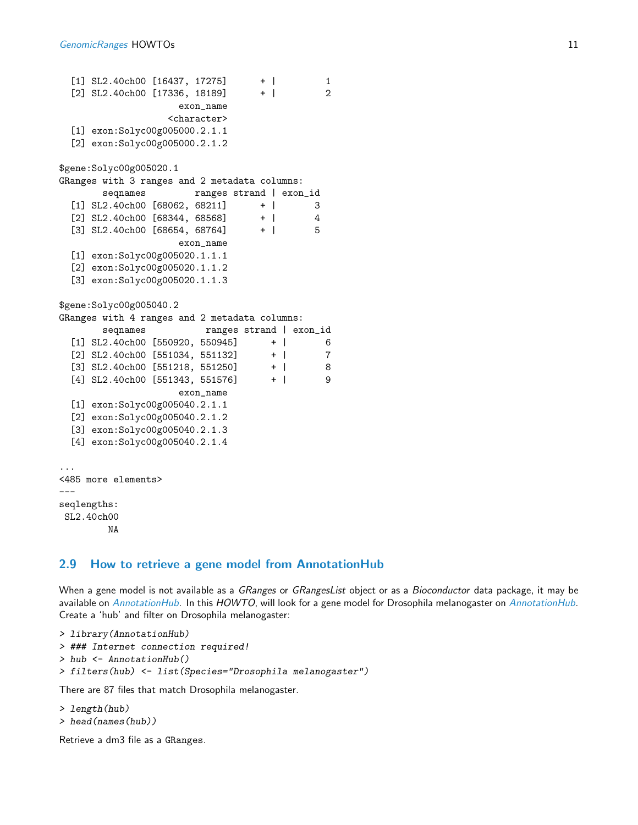```
[1] SL2.40ch00 [16437, 17275] + | 1
 [2] SL2.40ch00 [17336, 18189] + | 2
                   exon_name
                 <character>
 [1] exon:Solyc00g005000.2.1.1
 [2] exon:Solyc00g005000.2.1.2
$gene:Solyc00g005020.1
GRanges with 3 ranges and 2 metadata columns:
       seqnames ranges strand | exon_id
 [1] SL2.40ch00 [68062, 68211] + | 3
 [2] SL2.40ch00 [68344, 68568] + | 4
 [3] SL2.40ch00 [68654, 68764] + | 5exon_name
 [1] exon:Solyc00g005020.1.1.1
 [2] exon:Solyc00g005020.1.1.2
 [3] exon:Solyc00g005020.1.1.3
$gene:Solyc00g005040.2
GRanges with 4 ranges and 2 metadata columns:
       seqnames ranges strand | exon_id
 [1] SL2.40ch00 [550920, 550945] + | 6
 [2] SL2.40ch00 [551034, 551132] + | 7
 [3] SL2.40ch00 [551218, 551250] + | 8
 [4] SL2.40ch00 [551343, 551576] + | 9
                   exon_name
 [1] exon:Solyc00g005040.2.1.1
 [2] exon:Solyc00g005040.2.1.2
 [3] exon:Solyc00g005040.2.1.3
 [4] exon:Solyc00g005040.2.1.4
...
<485 more elements>
---
seqlengths:
SL2.40ch00
       NA
```
#### <span id="page-10-0"></span>2.9 How to retrieve a gene model from [AnnotationHub](http://bioconductor.org/packages/release/bioc/html/AnnotationHub.html)

When a gene model is not available as a GRanges or GRangesList object or as a Bioconductor data package, it may be available on [AnnotationHub](http://bioconductor.org/packages/release/bioc/html/AnnotationHub.html). In this HOWTO, will look for a gene model for Drosophila melanogaster on AnnotationHub. Create a 'hub' and filter on Drosophila melanogaster:

```
> library(AnnotationHub)
> ### Internet connection required!
> hub <- AnnotationHub()
> filters(hub) <- list(Species="Drosophila melanogaster")
```
There are 87 files that match Drosophila melanogaster.

```
> length(hub)
> head(names(hub))
```
Retrieve a dm3 file as a GRanges.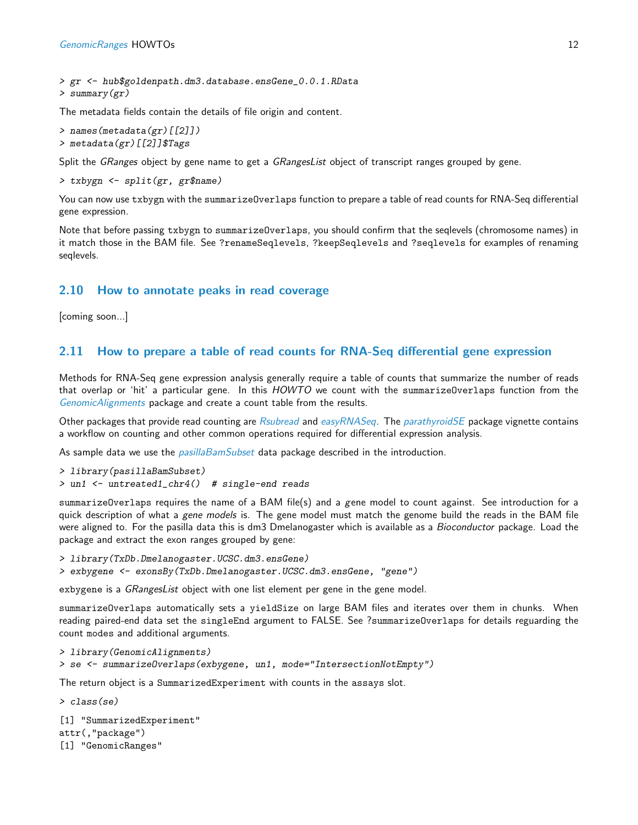> gr <- hub\$goldenpath.dm3.database.ensGene\_0.0.1.RData > summary(gr)

The metadata fields contain the details of file origin and content.

```
> names(metadata(gr)[[2]])
> metadata(gr)[[2]]$Tags
```
Split the *GRanges* object by gene name to get a *GRangesList* object of transcript ranges grouped by gene.

```
> txbygn <- split(gr, gr$name)
```
You can now use txbygn with the summarizeOverlaps function to prepare a table of read counts for RNA-Seq differential gene expression.

Note that before passing txbygn to summarizeOverlaps, you should confirm that the seqlevels (chromosome names) in it match those in the BAM file. See ?renameSeqlevels, ?keepSeqlevels and ?seqlevels for examples of renaming seqlevels.

#### <span id="page-11-0"></span>2.10 How to annotate peaks in read coverage

[coming soon...]

#### <span id="page-11-1"></span>2.11 How to prepare a table of read counts for RNA-Seq differential gene expression

Methods for RNA-Seq gene expression analysis generally require a table of counts that summarize the number of reads that overlap or 'hit' a particular gene. In this HOWTO we count with the summarizeOverlaps function from the [GenomicAlignments](http://bioconductor.org/packages/release/bioc/html/GenomicAlignments.html) package and create a count table from the results.

Other packages that provide read counting are [Rsubread](http://bioconductor.org/packages/release/bioc/html/Rsubread.html) and [easyRNASeq](http://bioconductor.org/packages/release/bioc/html/easyRNASeq.html). The [parathyroidSE](http://bioconductor.org/packages/release/bioc/html/parathyroidSE.html) package vignette contains a workflow on counting and other common operations required for differential expression analysis.

As sample data we use the *[pasillaBamSubset](http://bioconductor.org/packages/release/bioc/html/pasillaBamSubset.html)* data package described in the introduction.

```
> library(pasillaBamSubset)
```

```
> un1 <- untreated1_chr4() # single-end reads
```
summarizeOverlaps requires the name of a BAM file(s) and a gene model to count against. See introduction for a quick description of what a gene models is. The gene model must match the genome build the reads in the BAM file were aligned to. For the pasilla data this is dm3 Dmelanogaster which is available as a Bioconductor package. Load the package and extract the exon ranges grouped by gene:

```
> library(TxDb.Dmelanogaster.UCSC.dm3.ensGene)
```

```
> exbygene <- exonsBy(TxDb.Dmelanogaster.UCSC.dm3.ensGene, "gene")
```
exbygene is a *GRangesList* object with one list element per gene in the gene model.

summarizeOverlaps automatically sets a yieldSize on large BAM files and iterates over them in chunks. When reading paired-end data set the singleEnd argument to FALSE. See ?summarizeOverlaps for details reguarding the count modes and additional arguments.

```
> library(GenomicAlignments)
```
> se <- summarizeOverlaps(exbygene, un1, mode="IntersectionNotEmpty")

The return object is a SummarizedExperiment with counts in the assays slot.

```
> class(se)
```

```
[1] "SummarizedExperiment"
attr(,"package")
[1] "GenomicRanges"
```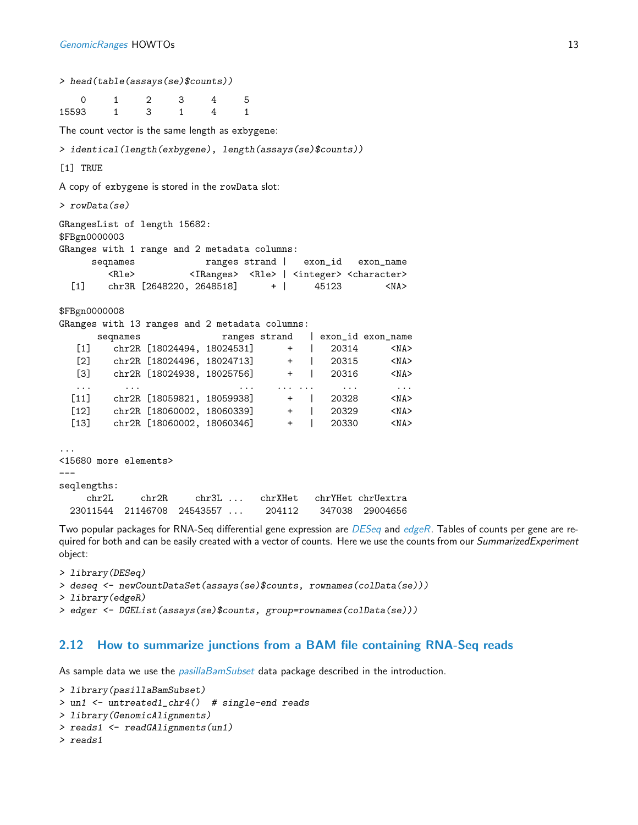> head(table(assays(se)\$counts)) 0 1 2 3 4 5 15593 1 3 1 4 1 The count vector is the same length as exbygene: > identical(length(exbygene), length(assays(se)\$counts)) [1] TRUE A copy of exbygene is stored in the rowData slot: > rowData(se) GRangesList of length 15682: \$FBgn0000003 GRanges with 1 range and 2 metadata columns: seqnames ranges strand | exon\_id exon\_name <Rle> <IRanges> <Rle> | <integer> <character> [1] chr3R [2648220, 2648518] + | 45123 <NA> \$FBgn0000008 GRanges with 13 ranges and 2 metadata columns: seqnames ranges strand | exon\_id exon\_name [1] chr2R [18024494, 18024531] + | 20314 <NA> [2] chr2R [18024496, 18024713] + | 20315 <NA> [3] chr2R [18024938, 18025756] + | 20316 <NA> ... ... ... ... ... ... ... [11] chr2R [18059821, 18059938] + | 20328 <NA> [12] chr2R [18060002, 18060339] + | 20329 <NA> [13] chr2R [18060002, 18060346] + | 20330 <NA> ... <15680 more elements> -- seqlengths: chr2L chr2R chr3L ... chrXHet chrYHet chrUextra 23011544 21146708 24543557 ... 204112 347038 29004656

Two popular packages for RNA-Seq differential gene expression are *[DESeq](http://bioconductor.org/packages/release/bioc/html/DESeq.html)* and [edgeR](http://bioconductor.org/packages/release/bioc/html/edgeR.html). Tables of counts per gene are required for both and can be easily created with a vector of counts. Here we use the counts from our SummarizedExperiment object:

> library(DESeq) > deseq <- newCountDataSet(assays(se)\$counts, rownames(colData(se))) > library(edgeR)

> edger <- DGEList(assays(se)\$counts, group=rownames(colData(se)))

#### <span id="page-12-0"></span>2.12 How to summarize junctions from a BAM file containing RNA-Seq reads

As sample data we use the *[pasillaBamSubset](http://bioconductor.org/packages/release/bioc/html/pasillaBamSubset.html)* data package described in the introduction.

```
> library(pasillaBamSubset)
> un1 <- untreated1_chr4() # single-end reads
> library(GenomicAlignments)
> reads1 <- readGAlignments(un1)
```

```
> reads1
```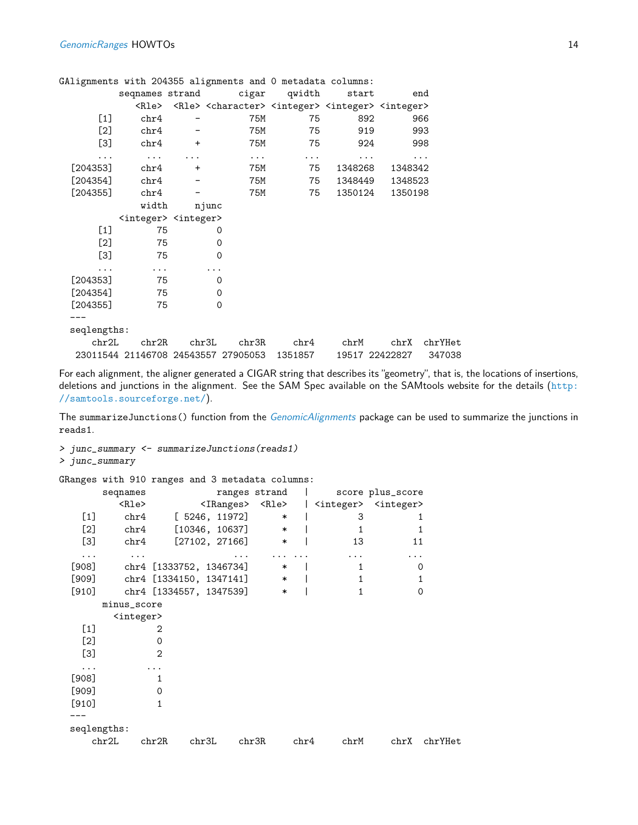| GAlignments with 204355 alignments and 0 metadata columns: |                                         |           |                                                                                                             |         |         |                |         |
|------------------------------------------------------------|-----------------------------------------|-----------|-------------------------------------------------------------------------------------------------------------|---------|---------|----------------|---------|
|                                                            | seqnames strand                         |           | cigar                                                                                                       | qwidth  | start   | end            |         |
|                                                            |                                         |           | <rle> <rle> <character> <integer> <integer> <integer></integer></integer></integer></character></rle></rle> |         |         |                |         |
| $[1]$                                                      | chr4                                    |           | 75M                                                                                                         | 75      | 892     | 966            |         |
| $[2]$                                                      | chr4                                    |           | 75M                                                                                                         | 75      | 919     | 993            |         |
| [3]                                                        | chr4                                    | $+$       | 75M                                                                                                         | 75      | 924     | 998            |         |
|                                                            | $\cdots$                                |           | .                                                                                                           | .       | .       | .              |         |
| [204353]                                                   | chr4                                    | $\ddot{}$ | 75M                                                                                                         | 75      | 1348268 | 1348342        |         |
| $[204354]$                                                 | chr4                                    |           | 75M                                                                                                         | 75      | 1348449 | 1348523        |         |
| $[204355]$                                                 | chr4                                    |           | 75M                                                                                                         | 75      | 1350124 | 1350198        |         |
|                                                            | width                                   | njunc     |                                                                                                             |         |         |                |         |
|                                                            | <integer> <integer></integer></integer> |           |                                                                                                             |         |         |                |         |
| $[1]$                                                      | 75                                      |           | 0                                                                                                           |         |         |                |         |
| $[2]$                                                      | 75                                      |           | $\Omega$                                                                                                    |         |         |                |         |
| [3]                                                        | 75                                      |           | $\Omega$                                                                                                    |         |         |                |         |
|                                                            | .                                       |           |                                                                                                             |         |         |                |         |
| [204353]                                                   | 75                                      |           | 0                                                                                                           |         |         |                |         |
| [204354]                                                   | 75                                      |           | $\Omega$                                                                                                    |         |         |                |         |
| [204355]                                                   | 75                                      |           | $\Omega$                                                                                                    |         |         |                |         |
|                                                            |                                         |           |                                                                                                             |         |         |                |         |
| seqlengths:                                                |                                         |           |                                                                                                             |         |         |                |         |
| chr2L                                                      | chr2R                                   | chr3L     | chr3R                                                                                                       | chr4    | chrM    | chrX           | chrYHet |
|                                                            |                                         |           | 23011544 21146708 24543557 27905053                                                                         | 1351857 |         | 19517 22422827 | 347038  |

For each alignment, the aligner generated a CIGAR string that describes its "geometry", that is, the locations of insertions, deletions and junctions in the alignment. See the SAM Spec available on the SAMtools website for the details ([http:](http://samtools.sourceforge.net/) [//samtools.sourceforge.net/](http://samtools.sourceforge.net/)).

The summarizeJunctions() function from the [GenomicAlignments](http://bioconductor.org/packages/release/bioc/html/GenomicAlignments.html) package can be used to summarize the junctions in reads1.

> junc\_summary <- summarizeJunctions(reads1) > junc\_summary

```
GRanges with 910 ranges and 3 metadata columns:
```

| ---5°   | $m = 0.12$ $m = 0.12$ | $\frac{1}{2}$           |                                 |               |      |      |                                         |         |
|---------|-----------------------|-------------------------|---------------------------------|---------------|------|------|-----------------------------------------|---------|
|         | seqnames              |                         |                                 | ranges strand |      |      | score plus_score                        |         |
|         | <rle></rle>           |                         | <iranges> <rle></rle></iranges> |               |      |      | <integer> <integer></integer></integer> |         |
| [1]     | chr4                  |                         | [5246, 11972]                   | $\ast$        |      | 3    |                                         |         |
| $[2]$   | chr4                  |                         | [10346, 10637]                  | $\ast$        |      |      |                                         |         |
| [3]     | chr4                  |                         | [27102, 27166]                  | $\ast$        |      | 13   | 11                                      |         |
|         |                       |                         |                                 |               |      |      |                                         |         |
| $[908]$ |                       | chr4 [1333752, 1346734] |                                 | $\ast$        |      |      | 0                                       |         |
| [909]   |                       | chr4 [1334150, 1347141] |                                 | $\ast$        |      |      |                                         | 1       |
| $[910]$ |                       | chr4 [1334557, 1347539] |                                 | $\ast$        |      |      | 0                                       |         |
|         | minus_score           |                         |                                 |               |      |      |                                         |         |
|         | <integer></integer>   |                         |                                 |               |      |      |                                         |         |
| [1]     |                       | 2                       |                                 |               |      |      |                                         |         |
| [2]     |                       | $\Omega$                |                                 |               |      |      |                                         |         |
| $[3]$   |                       | $\overline{2}$          |                                 |               |      |      |                                         |         |
| .       |                       |                         |                                 |               |      |      |                                         |         |
| [908]   |                       | 1                       |                                 |               |      |      |                                         |         |
| [909]   |                       | $\Omega$                |                                 |               |      |      |                                         |         |
| $[910]$ |                       |                         |                                 |               |      |      |                                         |         |
|         |                       |                         |                                 |               |      |      |                                         |         |
|         | seqlengths:           |                         |                                 |               |      |      |                                         |         |
|         | chr2L                 | chr2R                   | chr3L                           | chr3R         | chr4 | chrM | ${\tt chrX}$                            | chrYHet |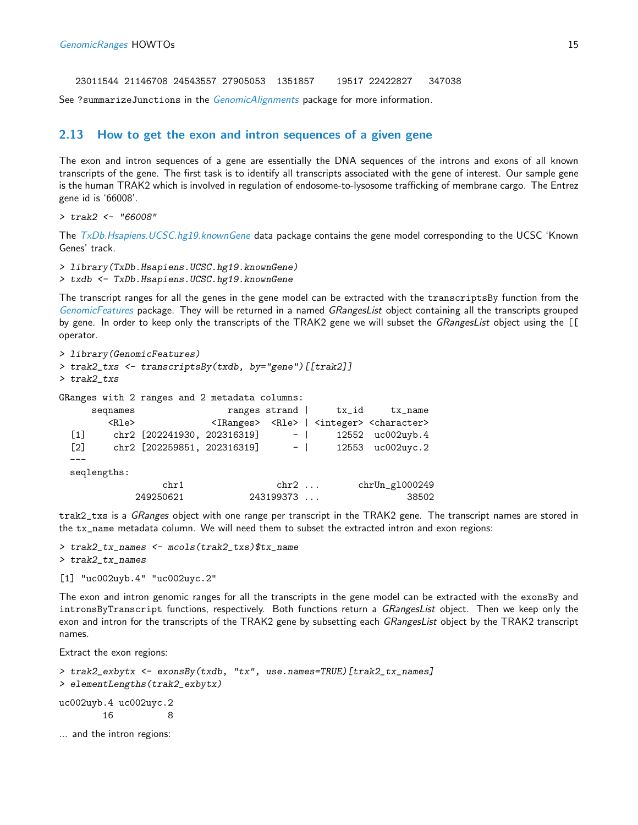23011544 21146708 24543557 27905053 1351857 19517 22422827 347038

See ?summarizeJunctions in the *[GenomicAlignments](http://bioconductor.org/packages/release/bioc/html/GenomicAlignments.html)* package for more information.

#### <span id="page-14-0"></span>2.13 How to get the exon and intron sequences of a given gene

The exon and intron sequences of a gene are essentially the DNA sequences of the introns and exons of all known transcripts of the gene. The first task is to identify all transcripts associated with the gene of interest. Our sample gene is the human TRAK2 which is involved in regulation of endosome-to-lysosome trafficking of membrane cargo. The Entrez gene id is '66008'.

> trak2 <- "66008"

The [TxDb.Hsapiens.UCSC.hg19.knownGene](http://bioconductor.org/packages/release/bioc/html/TxDb.Hsapiens.UCSC.hg19.knownGene.html) data package contains the gene model corresponding to the UCSC 'Known Genes' track.

> library(TxDb.Hsapiens.UCSC.hg19.knownGene)

> txdb <- TxDb.Hsapiens.UCSC.hg19.knownGene

The transcript ranges for all the genes in the gene model can be extracted with the transcriptsBy function from the [GenomicFeatures](http://bioconductor.org/packages/release/bioc/html/GenomicFeatures.html) package. They will be returned in a named GRangesList object containing all the transcripts grouped by gene. In order to keep only the transcripts of the TRAK2 gene we will subset the GRangesList object using the [[ operator.

```
> library(GenomicFeatures)
> trak2_txs <- transcriptsBy(txdb, by="gene")[[trak2]]
> trak2_txs
GRanges with 2 ranges and 2 metadata columns:
    seqnames ranges strand | tx_id tx_name
       <Rle> <IRanges> <Rle> | <integer> <character>
 [1] chr2 [202241930, 202316319] - | 12552 uc002uyb.4
 [2] chr2 [202259851, 202316319] - | 12553 uc002uyc.2
 ---
 seqlengths:
               chr1 chr2 ... chrUn_gl000249
           249250621 243199373 ... 38502
```
trak2\_txs is a GRanges object with one range per transcript in the TRAK2 gene. The transcript names are stored in the tx\_name metadata column. We will need them to subset the extracted intron and exon regions:

```
> trak2_tx_names <- mcols(trak2_txs)$tx_name
> trak2_tx_names
```
[1] "uc002uyb.4" "uc002uyc.2"

The exon and intron genomic ranges for all the transcripts in the gene model can be extracted with the exonsBy and intronsByTranscript functions, respectively. Both functions return a GRangesList object. Then we keep only the exon and intron for the transcripts of the TRAK2 gene by subsetting each GRangesList object by the TRAK2 transcript names.

Extract the exon regions:

```
> trak2_exbytx <- exonsBy(txdb, "tx", use.names=TRUE)[trak2_tx_names]
> elementLengths(trak2_exbytx)
uc002uyb.4 uc002uyc.2
       16 8
... and the intron regions:
```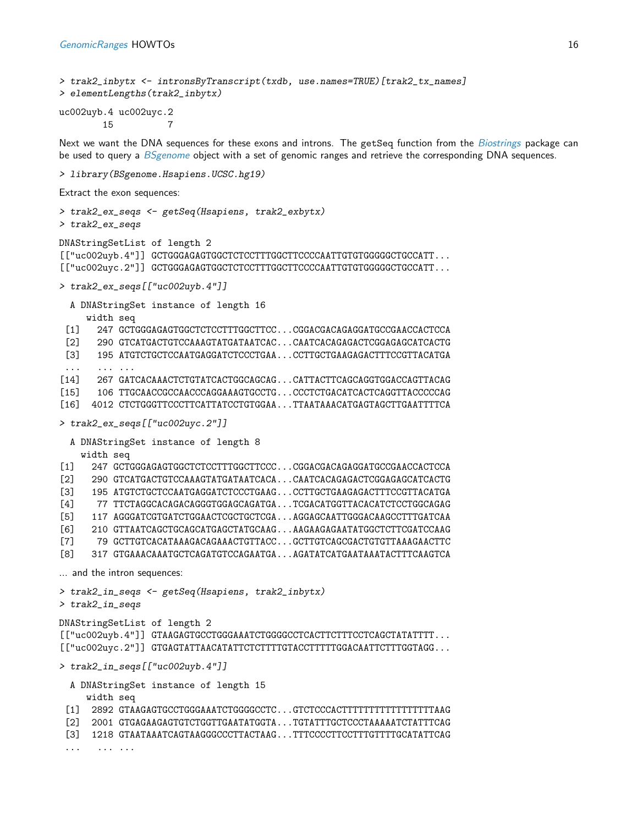```
> trak2_inbytx <- intronsByTranscript(txdb, use.names=TRUE)[trak2_tx_names]
> elementLengths(trak2_inbytx)
uc002uyb.4 uc002uyc.2
       15
Biostrings package can
be used to query a BSgenome object with a set of genomic ranges and retrieve the corresponding DNA sequences.
> library(BSgenome.Hsapiens.UCSC.hg19)
Extract the exon sequences:
> trak2_ex_seqs <- getSeq(Hsapiens, trak2_exbytx)
> trak2_ex_seqs
DNAStringSetList of length 2
```

```
[["uc002uyb.4"]] GCTGGGAGAGTGGCTCTCCTTTGGCTTCCCCAATTGTGTGGGGCTGCCATT...
[["uc002uyc.2"]] GCTGGGAGAGTGGCTCTCCTTTGGCTTCCCAATTGTGTGGGGCTGCCATT...
> trak2_ex_seqs[["uc002uyb.4"]]
  A DNAStringSet instance of length 16
     width seq
 [1] 247 GCTGGGAGAGTGGCTCTCCTTTGGCTTCC...CGGACGACAGAGGATGCCGAACCACTCCA
 [2] 290 GTCATGACTGTCCAAAGTATGATAATCAC...CAATCACAGAGACTCGGAGAGCATCACTG
 [3] 195 ATGTCTGCTCCAATGAGGATCTCCCTGAA...CCTTGCTGAAGAGACTTTCCGTTACATGA
 ... ... ...
[14] 267 GATCACAAACTCTGTATCACTGGCAGCAG...CATTACTTCAGCAGGTGGACCAGTTACAG
[15] 106 TTGCAACCGCCAACCCAGGAAAGTGCCTG...CCCTCTGACATCACTCAGGTTACCCCCAG
[16] 4012 CTCTGGGTTCCCTTCATTATCCTGTGGAA...TTAATAAACATGAGTAGCTTGAATTTTCA
> trak2_ex_seqs[["uc002uyc.2"]]
  A DNAStringSet instance of length 8
    width seq
[1] 247 GCTGGGAGAGTGGCTCTCCTTTGGCTTCCC...CGGACGACAGAGGATGCCGAACCACTCCA
[2] 290 GTCATGACTGTCCAAAGTATGATAATCACA...CAATCACAGAGACTCGGAGAGCATCACTG
[3] 195 ATGTCTGCTCCAATGAGGATCTCCCTGAAG...CCTTGCTGAAGAGACTTTCCGTTACATGA
[4] 77 TTCTAGGCACAGACAGGGTGGAGCAGATGA...TCGACATGGTTACACATCTCCTGGCAGAG
[5] 117 AGGGATCGTGATCTGGAACTCGCTGCTCGA...AGGAGCAATTGGGACAAGCCTTTGATCAA
[6] 210 GTTAATCAGCTGCAGCATGAGCTATGCAAG...AAGAAGAGAATATGGCTCTTCGATCCAAG
[7] 79 GCTTGTCACATAAAGACAGAAACTGTTACC...GCTTGTCAGCGACTGTGTTAAAGAACTTC
[8] 317 GTGAAACAAATGCTCAGATGTCCAGAATGA...AGATATCATGAATAAATACTTTCAAGTCA
... and the intron sequences:
> trak2_in_seqs <- getSeq(Hsapiens, trak2_inbytx)
> trak2_in_seqs
DNAStringSetList of length 2
[["uc002uyb.4"]] GTAAGAGTGCCTGGGAAATCTGGGGCCTCACTTCTTTCCTCAGCTATATTTT...
[["uc002uyc.2"]] GTGAGTATTAACATATTCTCTTTTGTACCTTTTTGGACAATTCTTTGGTAGG...
> trak2_in_seqs[["uc002uyb.4"]]
  A DNAStringSet instance of length 15
     width seq
 [1] 2892 GTAAGAGTGCCTGGGAAATCTGGGGCCTC...GTCTCCCACTTTTTTTTTTTTTTTTTAAG
 [2] 2001 GTGAGAAGAGTGTCTGGTTGAATATGGTA...TGTATTTGCTCCCTAAAAATCTATTTCAG
```
- [3] 1218 GTAATAAATCAGTAAGGGCCCTTACTAAG...TTTCCCCTTCCTTTGTTTTGCATATTCAG
- ... ... ...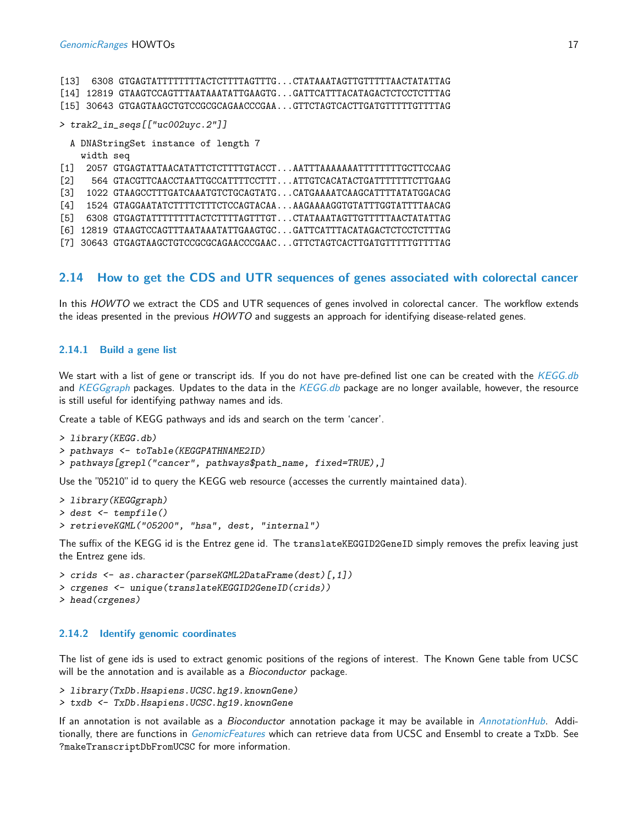| [13]              |           | 6308 GTGAGTATTTTTTTTACTCTTTTAGTTTGCTATAAATAGTTGTTTTTAACTATATTAG    |
|-------------------|-----------|--------------------------------------------------------------------|
| $[14]$            |           | 12819 GTAAGTCCAGTTTAATAAATATTGAAGTGGATTCATTTACATAGACTCTCCTCTTTAG   |
| [15]              |           | 30643 GTGAGTAAGCTGTCCGCGCAGAACCCGAAGTTCTAGTCACTTGATGTTTTTTGTTTAG   |
|                   |           | $\texttt{5}$ trak2_in_seqs[["uc002uyc.2"]]                         |
|                   |           | A DNAStringSet instance of length 7                                |
|                   | width seq |                                                                    |
| $\lceil 1 \rceil$ |           | 2057 GTGAGTATTAACATATTCTCTTTTGTACCT  AATTTAAAAAATTTTTTTTTGCTTCCAAG |
| $\lceil 2 \rceil$ |           | 564 GTACGTTCAACCTAATTGCCATTTTCCTTTATTGTCACATACTGATTTTTTTTCTTGAAG   |
| T31               |           | 1022 GTAAGCCTTTGATCAAATGTCTGCAGTATGCATGAAAATCAAGCATTTTATATGGACAG   |
| [4]               |           | 1524 GTAGGAATATCTTTTCTTTCTCCAGTACAA AGAAAAGGTGTATTTGGTATTTAACAG    |
| [5]               |           | 6308 GTGAGTATTTTTTTTACTCTTTTAGTTTGTCTATAAATAGTTGTTTTTAACTATATTAG   |
| T61               |           | 12819 GTAAGTCCAGTTTAATAATATTGAAGTGCGATTCATTTACATAGACTCTCCTCTTTAG   |
|                   |           | 30643 GTGAGTAAGCTGTCCGCGCAGAACCCGAACGTTCTAGTCACTTGATGTTTTTGTTTAG   |

#### <span id="page-16-0"></span>2.14 How to get the CDS and UTR sequences of genes associated with colorectal cancer

In this HOWTO we extract the CDS and UTR sequences of genes involved in colorectal cancer. The workflow extends the ideas presented in the previous HOWTO and suggests an approach for identifying disease-related genes.

#### <span id="page-16-1"></span>2.14.1 Build a gene list

We start with a list of gene or transcript ids. If you do not have pre-defined list one can be created with the [KEGG.db](http://bioconductor.org/packages/release/bioc/html/KEGG.db.html) and [KEGGgraph](http://bioconductor.org/packages/release/bioc/html/KEGGgraph.html) packages. Updates to the data in the [KEGG.db](http://bioconductor.org/packages/release/bioc/html/KEGG.db.html) package are no longer available, however, the resource is still useful for identifying pathway names and ids.

Create a table of KEGG pathways and ids and search on the term 'cancer'.

```
> library(KEGG.db)
> pathways <- toTable(KEGGPATHNAME2ID)
> pathways[grepl("cancer", pathways$path_name, fixed=TRUE),]
```
Use the "05210" id to query the KEGG web resource (accesses the currently maintained data).

```
> library(KEGGgraph)
> dest <- tempfile()
> retrieveKGML("05200", "hsa", dest, "internal")
```
The suffix of the KEGG id is the Entrez gene id. The translateKEGGID2GeneID simply removes the prefix leaving just the Entrez gene ids.

> crids <- as.character(parseKGML2DataFrame(dest)[,1]) > crgenes <- unique(translateKEGGID2GeneID(crids))

```
> head(crgenes)
```
#### <span id="page-16-2"></span>2.14.2 Identify genomic coordinates

The list of gene ids is used to extract genomic positions of the regions of interest. The Known Gene table from UCSC will be the annotation and is available as a *Bioconductor* package.

> library(TxDb.Hsapiens.UCSC.hg19.knownGene)

> txdb <- TxDb.Hsapiens.UCSC.hg19.knownGene

If an annotation is not available as a Bioconductor annotation package it may be available in [AnnotationHub](http://bioconductor.org/packages/release/bioc/html/AnnotationHub.html). Additionally, there are functions in *[GenomicFeatures](http://bioconductor.org/packages/release/bioc/html/GenomicFeatures.html)* which can retrieve data from UCSC and Ensembl to create a TxDb. See ?makeTranscriptDbFromUCSC for more information.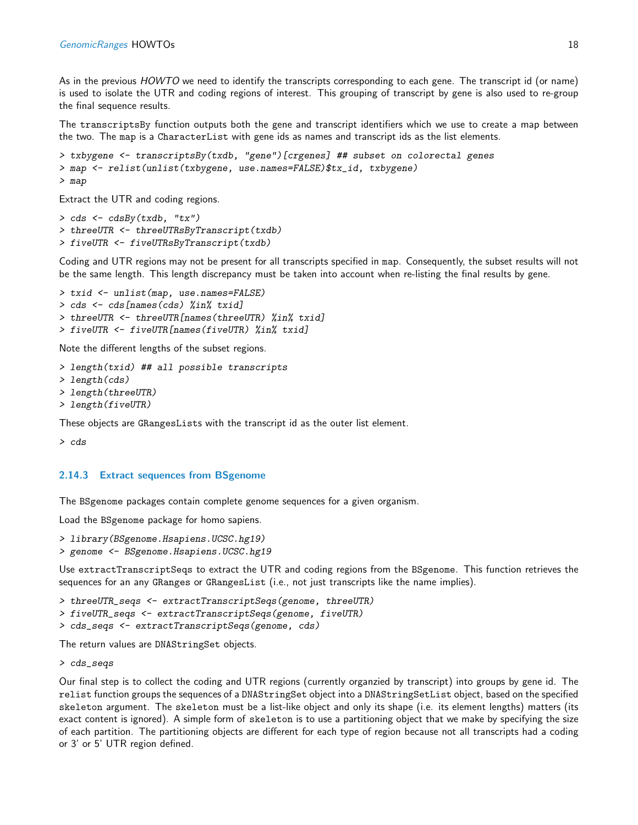As in the previous HOWTO we need to identify the transcripts corresponding to each gene. The transcript id (or name) is used to isolate the UTR and coding regions of interest. This grouping of transcript by gene is also used to re-group the final sequence results.

The transcriptsBy function outputs both the gene and transcript identifiers which we use to create a map between the two. The map is a CharacterList with gene ids as names and transcript ids as the list elements.

```
> txbygene <- transcriptsBy(txdb, "gene")[crgenes] ## subset on colorectal genes
> map <- relist(unlist(txbygene, use.names=FALSE)$tx_id, txbygene)
> map
```
Extract the UTR and coding regions.

```
> cds <- cdsBy(txdb, "tx")
> threeUTR <- threeUTRsByTranscript(txdb)
> fiveUTR <- fiveUTRsByTranscript(txdb)
```
Coding and UTR regions may not be present for all transcripts specified in map. Consequently, the subset results will not be the same length. This length discrepancy must be taken into account when re-listing the final results by gene.

```
> txid <- unlist(map, use.names=FALSE)
> cds <- cds[names(cds) %in% txid]
> threeUTR <- threeUTR[names(threeUTR) %in% txid]
> fiveUTR <- fiveUTR[names(fiveUTR) %in% txid]
```
Note the different lengths of the subset regions.

```
> length(txid) ## all possible transcripts
```

```
> length(cds)
```

```
> length(threeUTR)
```

```
> length(fiveUTR)
```
These objects are GRangesLists with the transcript id as the outer list element.

> cds

#### <span id="page-17-0"></span>2.14.3 Extract sequences from BSgenome

The BSgenome packages contain complete genome sequences for a given organism.

Load the BSgenome package for homo sapiens.

```
> library(BSgenome.Hsapiens.UCSC.hg19)
> genome <- BSgenome.Hsapiens.UCSC.hg19
```
Use extractTranscriptSeqs to extract the UTR and coding regions from the BSgenome. This function retrieves the sequences for an any GRanges or GRangesList (i.e., not just transcripts like the name implies).

> threeUTR\_seqs <- extractTranscriptSeqs(genome, threeUTR) > fiveUTR\_seqs <- extractTranscriptSeqs(genome, fiveUTR) > cds\_seqs <- extractTranscriptSeqs(genome, cds)

The return values are DNAStringSet objects.

> cds\_seqs

Our final step is to collect the coding and UTR regions (currently organzied by transcript) into groups by gene id. The relist function groups the sequences of a DNAStringSet object into a DNAStringSetList object, based on the specified skeleton argument. The skeleton must be a list-like object and only its shape (i.e. its element lengths) matters (its exact content is ignored). A simple form of skeleton is to use a partitioning object that we make by specifying the size of each partition. The partitioning objects are different for each type of region because not all transcripts had a coding or 3' or 5' UTR region defined.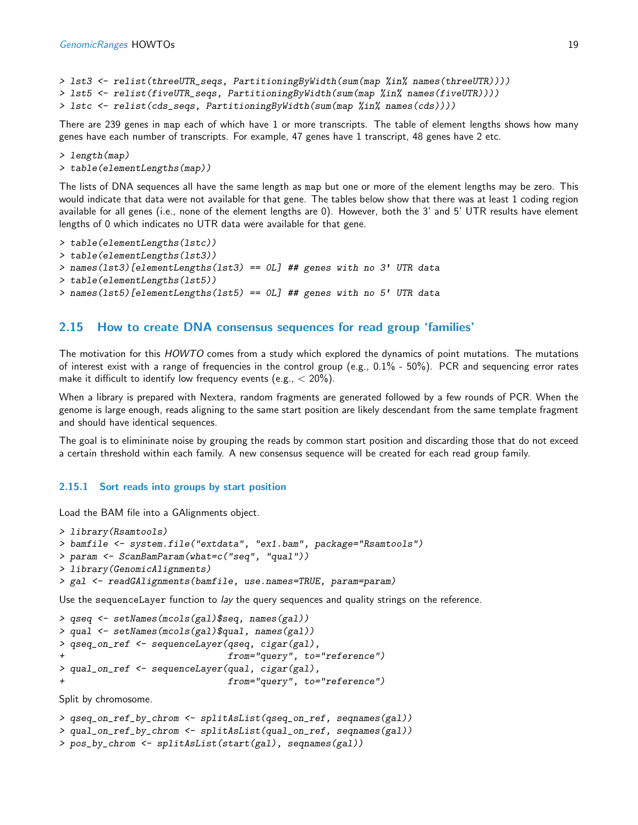```
> lst3 <- relist(threeUTR_seqs, PartitioningByWidth(sum(map %in% names(threeUTR))))
> 1st5 <- relist(fiveUTR_seqs, PartitioningByWidth(sum(map %in% names(fiveUTR))))
> lstc <- relist(cds_seqs, PartitioningByWidth(sum(map %in% names(cds))))
```
There are 239 genes in map each of which have 1 or more transcripts. The table of element lengths shows how many genes have each number of transcripts. For example, 47 genes have 1 transcript, 48 genes have 2 etc.

```
> length(map)
> table(elementLengths(map))
```
The lists of DNA sequences all have the same length as map but one or more of the element lengths may be zero. This would indicate that data were not available for that gene. The tables below show that there was at least 1 coding region available for all genes (i.e., none of the element lengths are 0). However, both the 3' and 5' UTR results have element lengths of 0 which indicates no UTR data were available for that gene.

```
> table(elementLengths(lstc))
> table(elementLengths(lst3))
> names(lst3)[elementLengths(lst3) == 0L] ## genes with no 3' UTR data
> table(elementLengths(lst5))
> names(lst5)[elementLengths(lst5) == 0L] ## genes with no 5' UTR data
```
#### <span id="page-18-0"></span>2.15 How to create DNA consensus sequences for read group 'families'

The motivation for this HOWTO comes from a study which explored the dynamics of point mutations. The mutations of interest exist with a range of frequencies in the control group (e.g., 0.1% - 50%). PCR and sequencing error rates make it difficult to identify low frequency events (e.g.,  $<$  20%).

When a library is prepared with Nextera, random fragments are generated followed by a few rounds of PCR. When the genome is large enough, reads aligning to the same start position are likely descendant from the same template fragment and should have identical sequences.

The goal is to elimininate noise by grouping the reads by common start position and discarding those that do not exceed a certain threshold within each family. A new consensus sequence will be created for each read group family.

#### <span id="page-18-1"></span>2.15.1 Sort reads into groups by start position

Load the BAM file into a GAlignments object.

```
> library(Rsamtools)
> bamfile <- system.file("extdata", "ex1.bam", package="Rsamtools")
> param <- ScanBamParam(what=c("seq", "qual"))
> library(GenomicAlignments)
> gal <- readGAlignments(bamfile, use.names=TRUE, param=param)
```
Use the sequenceLayer function to lay the query sequences and quality strings on the reference.

```
> qseq <- setNames(mcols(gal)$seq, names(gal))
> qual <- setNames(mcols(gal)$qual, names(gal))
> qseq_on_ref <- sequenceLayer(qseq, cigar(gal),
+ from="query", to="reference")
> qual_on_ref <- sequenceLayer(qual, cigar(gal),
+ from="query", to="reference")
```
Split by chromosome.

```
> qseq_on_ref_by_chrom <- splitAsList(qseq_on_ref, seqnames(gal))
> qual_on_ref_by_chrom <- splitAsList(qual_on_ref, seqnames(gal))
> pos_by_chrom <- splitAsList(start(gal), seqnames(gal))
```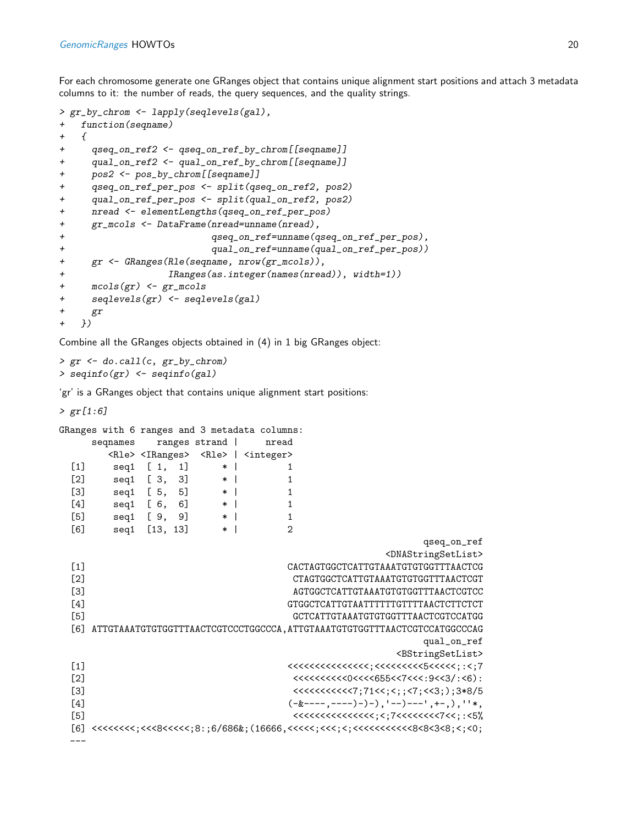For each chromosome generate one GRanges object that contains unique alignment start positions and attach 3 metadata columns to it: the number of reads, the query sequences, and the quality strings.

```
> gr_by_chrom <- lapply(seqlevels(gal),
+ function(seqname)
+ {
+ qseq_on_ref2 <- qseq_on_ref_by_chrom[[seqname]]
+ qual_on_ref2 <- qual_on_ref_by_chrom[[seqname]]
+ pos2 <- pos_by_chrom[[seqname]]
+ qseq_on_ref_per_pos <- split(qseq_on_ref2, pos2)
+ qual_on_ref_per_pos <- split(qual_on_ref2, pos2)
+ nread <- elementLengths(qseq_on_ref_per_pos)
+ gr_mcols <- DataFrame(nread=unname(nread),
+ qseq_on_ref=unname(qseq_on_ref_per_pos),
+ qual_on_ref=unname(qual_on_ref_per_pos))
+ gr <- GRanges(Rle(seqname, nrow(gr_mcols)),
+ IRanges(as.integer(names(nread)), width=1))
+ mcols(gr) <- gr_mcols
+ seqlevels(gr) <- seqlevels(gal)
+ gr
+ })
```
Combine all the GRanges objects obtained in (4) in 1 big GRanges object:

```
> gr <- do.call(c, gr_by_chrom)
> seqinfo(gr) <- seqinfo(gal)
```
'gr' is a GRanges object that contains unique alignment start positions:

 $>$  gr[1:6]

```
GRanges with 6 ranges and 3 metadata columns:
   seqnames ranges strand | nread
     <Rle> <IRanges> <Rle> | <integer>
 [1] seq1 [1, 1] * | 1
 [2] seq1 [3, 3] * | 1
 [3] seq1 [5, 5] * | 1
 [4] seq1 [6, 6] * | 1
 [5] seq1 [ 9, 9] * | 1
 [6] seq1 [13, 13] * | 2
                                           qseq_on_ref
                                      <DNAStringSetList>
 [1] CACTAGTGGCTCATTGTAAATGTGTGGTTTAACTCG
 [2] CTAGTGGCTCATTGTAAATGTGTGGTTTAACTCGT
 [3] AGTGGCTCATTGTAAATGTGTGGTTTAACTCGTCC
 [4] GTGGCTCATTGTAATTTTTTGTTTTAACTCTTCTCT
 [5] GCTCATTGTAAATGTGTGGTTTAACTCGTCCATGG
 [6] ATTGTAAATGTGTGGTTTAACTCGTCCCTGGCCCA,ATTGTAAATGTGTGGTTTAACTCGTCCATGGCCCAG
                                           qual_on_ref
                                        <BStringSetList>
 [1] <<<<<<<<<<<<<<<;<<<<<<<<<5<<<<<;:<;7
 [2] <<<<<<<<<<0<<<<655<<7<<<:9<<3/:<6):
 [3] <<<<<<<<<<<7;71<<;<;;<7;<<3;);3*8/5
 [4] (-&---,---)-)-, '--)---', +-,), ''*,
 [5] <<<<<<<<<<<<<<<;<;7<<<<<<<<7<<;:<5%
 [6] <<<<<<;<<8<<<<:<8; 6/686k; (16666,<<<<;<<c><<8<<<<<8<<8<8<3<8; (50,600)---
```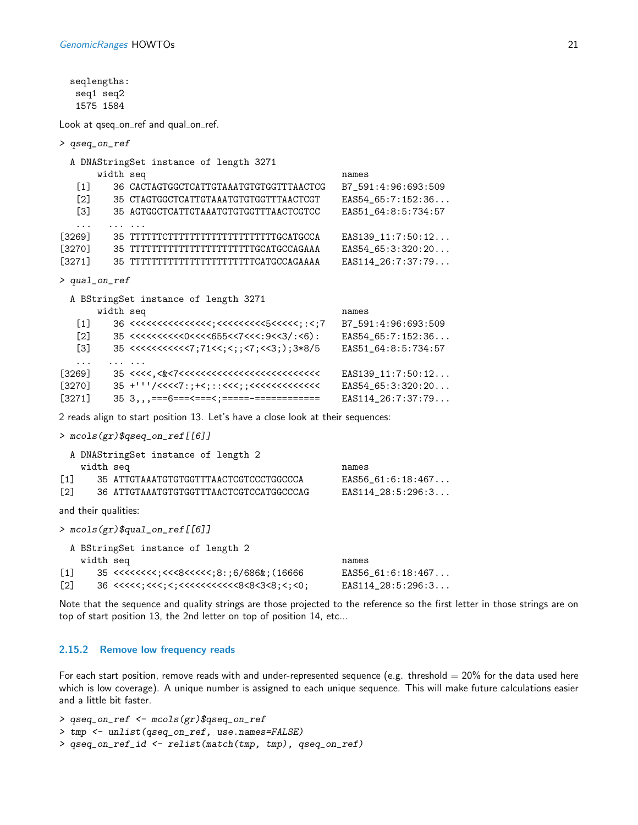```
seqlengths:
  seq1 seq2
  1575 1584
Look at qseq_on_ref and qual_on_ref.
> qseq_on_ref
 A DNAStringSet instance of length 3271
      width seq names
   [1] 36 CACTAGTGGCTCATTGTAAATGTGTGGTTTAACTCG B7_591:4:96:693:509
  [2] 35 CTAGTGGCTCATTGTAAATGTGTGGTTTAACTCGT EAS54_65:7:152:36...
  [3] 35 AGTGGCTCATTGTAAATGTGTGGTTTAACTCGTCC EAS51_64:8:5:734:57
   ... ... ...
[3269] 35 TTTTTTCTTTTTTTTTTTTTTTTTTTGCATGCCA EAS139_11:7:50:12...
[3270] 35 TTTTTTTTTTTTTTTTTTTTTTTGCATGCCAGAAA EAS54_65:3:320:20...
[3271] 35 TTTTTTTTTTTTTTTTTTTTTTTCATGCCAGAAAA EAS114_26:7:37:79...
> qual_on_ref
 A BStringSet instance of length 3271
      width seq names
  [1] 36 <<<<<<<<<<<<<<<;<<<<<<<<<5<<<<<;:<;7 B7_591:4:96:693:509
  [2] 35 <<<<<<<<<<0<<<<655<<7<<<:9<<3/:<6): EAS54_65:7:152:36...
  [3] 35 <<<<<<<<<<<7;71<<;<;;<7;<<3;);3*8/5 EAS51_64:8:5:734:57
   ... ... ...
[3269] 35 <<<<,<&<7<<<<<<<<<<<<<<<<<<<<<<<<<< EAS139_11:7:50:12...
[3270] 35 +'''/<<<<7:;+<;::<<<;;<<<<<<<<<<<<< EAS54_65:3:320:20...
[3271] 35 3,,,===6===<===<;=====-============ EAS114_26:7:37:79...
2 reads align to start position 13. Let's have a close look at their sequences:
> mcols(gr)$qseq_on_ref[[6]]
 A DNAStringSet instance of length 2
   width seq names
[1] 35 ATTGTAAATGTGTGGTTTAACTCGTCCCTGGCCCA EAS56_61:6:18:467...
[2] 36 ATTGTAAATGTGTGGTTTAACTCGTCCATGGCCCAG EAS114_28:5:296:3...
and their qualities:
> mcols(gr)$qual_on_ref[[6]]
 A BStringSet instance of length 2
   width seq names
[1] 35 <<<<<<<<;<<<8<<<<<;8:;6/686&;(16666 EAS56_61:6:18:467...
```
[2] 36 <<<<<;<<<;<;<<<<<<<<<<<8<8<3<8;<;<0; EAS114\_28:5:296:3...

Note that the sequence and quality strings are those projected to the reference so the first letter in those strings are on top of start position 13, the 2nd letter on top of position 14, etc...

#### <span id="page-20-0"></span>2.15.2 Remove low frequency reads

For each start position, remove reads with and under-represented sequence (e.g. threshold  $= 20\%$  for the data used here which is low coverage). A unique number is assigned to each unique sequence. This will make future calculations easier and a little bit faster.

```
> qseq_on_ref <- mcols(gr)$qseq_on_ref
> tmp <- unlist(qseq_on_ref, use.names=FALSE)
> qseq_on_ref_id <- relist(match(tmp, tmp), qseq_on_ref)
```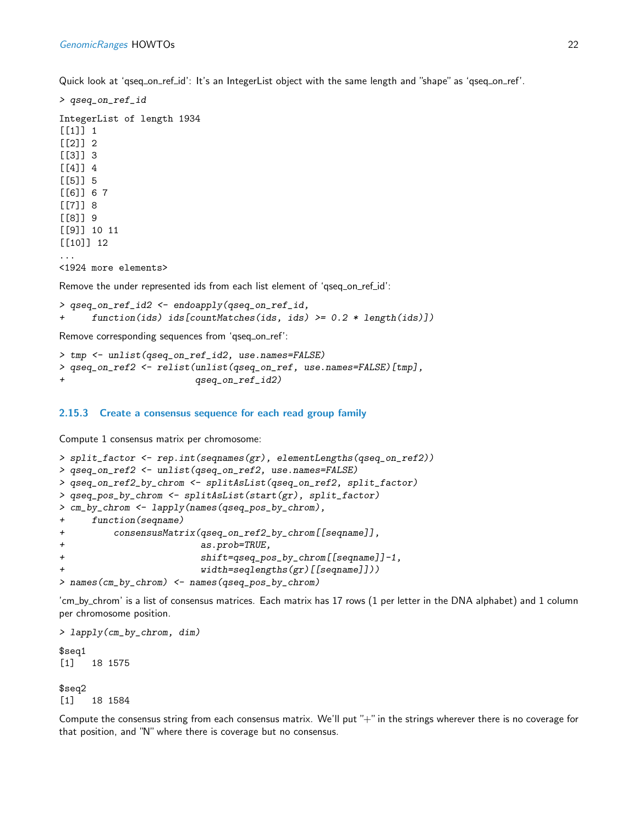Quick look at 'qseq\_on\_ref\_id': It's an IntegerList object with the same length and "shape" as 'qseq\_on\_ref'.

> qseq\_on\_ref\_id IntegerList of length 1934 [[1]] 1 [[2]] 2 [[3]] 3 [[4]] 4 [[5]] 5 [[6]] 6 7 [[7]] 8 [[8]] 9 [[9]] 10 11 [[10]] 12 ... <1924 more elements> Remove the under represented ids from each list element of 'qseq\_on\_ref\_id':

> qseq\_on\_ref\_id2 <- endoapply(qseq\_on\_ref\_id,

+ function(ids) ids[countMatches(ids, ids) >= 0.2 \* length(ids)])

Remove corresponding sequences from 'qseq\_on\_ref':

```
> tmp <- unlist(qseq_on_ref_id2, use.names=FALSE)
> qseq_on_ref2 <- relist(unlist(qseq_on_ref, use.names=FALSE)[tmp],
+ qseq_on_ref_id2)
```
<span id="page-21-0"></span>2.15.3 Create a consensus sequence for each read group family

Compute 1 consensus matrix per chromosome:

```
> split_factor <- rep.int(seqnames(gr), elementLengths(qseq_on_ref2))
> qseq_on_ref2 <- unlist(qseq_on_ref2, use.names=FALSE)
> qseq_on_ref2_by_chrom <- splitAsList(qseq_on_ref2, split_factor)
> qseq_pos_by_chrom <- splitAsList(start(gr), split_factor)
> cm_by_chrom <- lapply(names(qseq_pos_by_chrom),
+ function(seqname)
+ consensusMatrix(qseq_on_ref2_by_chrom[[seqname]],
+ as.prob=TRUE,
+ shift=qseq_pos_by_chrom[[seqname]]-1,
+ width=seqlengths(gr)[[seqname]]))
> names(cm_by_chrom) <- names(qseq_pos_by_chrom)
```
'cm\_by\_chrom' is a list of consensus matrices. Each matrix has 17 rows (1 per letter in the DNA alphabet) and 1 column per chromosome position.

```
> lapply(cm_by_chrom, dim)
$seq1
[1] 18 1575
$seq2
[1] 18 1584
```
Compute the consensus string from each consensus matrix. We'll put "+" in the strings wherever there is no coverage for that position, and "N" where there is coverage but no consensus.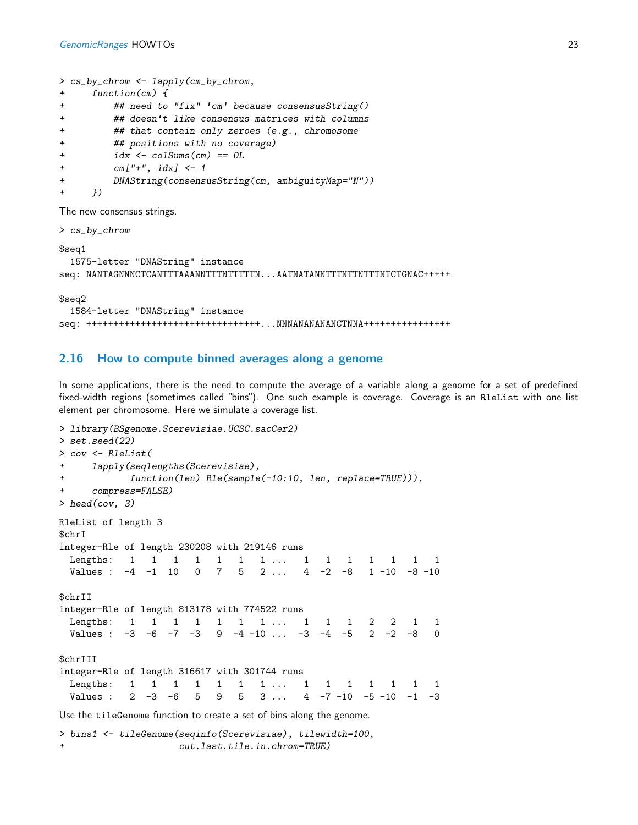```
> cs_by_chrom <- lapply(cm_by_chrom,
+ function(cm) {
+ ## need to "fix" 'cm' because consensusString()
+ ## doesn't like consensus matrices with columns
+ ## that contain only zeroes (e.g., chromosome
+ ## positions with no coverage)
+ idx <- colSums(cm) == 0L
+ cm["+'", idx] < -1+ DNAString(consensusString(cm, ambiguityMap="N"))
+ })
```
The new consensus strings.

```
> cs_by_chrom
```
\$seq1

```
1575-letter "DNAString" instance
seq: NANTAGNNNCTCANTTTAAANNTTTNTTTTTN...AATNATANNTTTNTTNTTTNTCTGNAC+++++
```
\$seq2

```
1584-letter "DNAString" instance
seq: ++++++++++++++++++++++++++++++++...NNNANANANANCTNNA++++++++++++++++
```
#### <span id="page-22-0"></span>2.16 How to compute binned averages along a genome

In some applications, there is the need to compute the average of a variable along a genome for a set of predefined fixed-width regions (sometimes called "bins"). One such example is coverage. Coverage is an RleList with one list element per chromosome. Here we simulate a coverage list.

```
> library(BSgenome.Scerevisiae.UCSC.sacCer2)
> set.seed(22)
> cov <- RleList(
+ lapply(seqlengths(Scerevisiae),
           function(len) Rle(sample(-10:10, len, replace=TRUE))),
+ compress=FALSE)
> head(cov, 3)
RleList of length 3
$chrI
integer-Rle of length 230208 with 219146 runs
 Lengths: 1 1 1 1 1 1 1 1 1 ... 1 1 1 1 1 1 1
 Values : -4 -1 10 0 7 5 2 ... 4 -2 -8 1 -10 -8 -10
$chrII
integer-Rle of length 813178 with 774522 runs
 Lengths: 1 1 1 1 1 1 1 1 1 ... 1 1 1 2 2 1 1
 Values : -3 -6 -7 -3 9 -4 -10 ... -3 -4 -5 2 -2 -8 0
$chrIII
integer-Rle of length 316617 with 301744 runs
 Lengths: 1 1 1 1 1 1 1 1 ... 1 1 1 1 1 1 1
 Values : 2 -3 -6 5 9 5 3 ... 4 -7 -10 -5 -10 -1 -3
Use the tileGenome function to create a set of bins along the genome.
> bins1 <- tileGenome(seqinfo(Scerevisiae), tilewidth=100,
+ cut.last.tile.in.chrom=TRUE)
```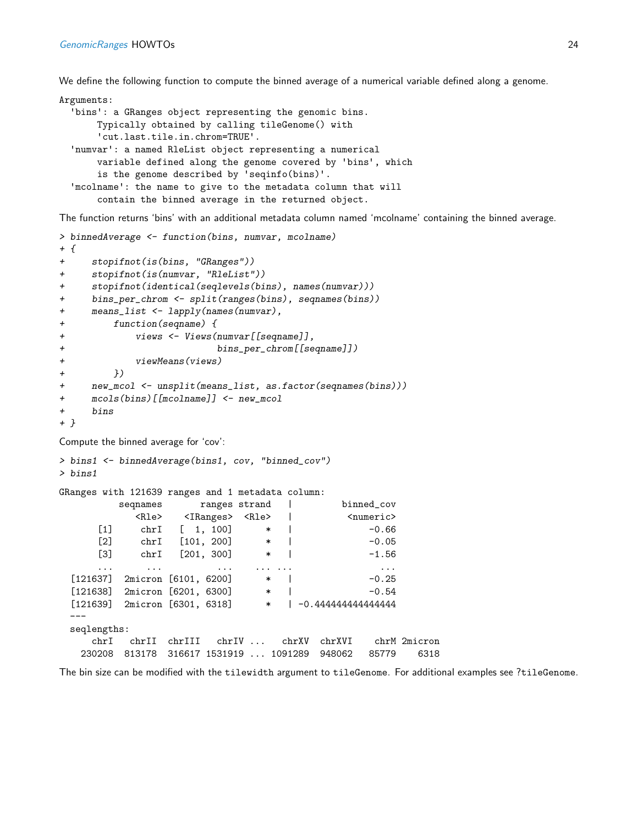We define the following function to compute the binned average of a numerical variable defined along a genome.

Arguments:

```
'bins': a GRanges object representing the genomic bins.
    Typically obtained by calling tileGenome() with
    'cut.last.tile.in.chrom=TRUE'.
'numvar': a named RleList object representing a numerical
    variable defined along the genome covered by 'bins', which
    is the genome described by 'seqinfo(bins)'.
'mcolname': the name to give to the metadata column that will
    contain the binned average in the returned object.
```
The function returns 'bins' with an additional metadata column named 'mcolname' containing the binned average.

```
> binnedAverage <- function(bins, numvar, mcolname)
+ {
+ stopifnot(is(bins, "GRanges"))
+ stopifnot(is(numvar, "RleList"))
+ stopifnot(identical(seqlevels(bins), names(numvar)))
+ bins_per_chrom <- split(ranges(bins), seqnames(bins))
+ means_list <- lapply(names(numvar),
+ function(seqname) {
+ views <- Views(numvar[[seqname]],
+ bins_per_chrom[[seqname]])
+ viewMeans(views)
+ })
+ new_mcol <- unsplit(means_list, as.factor(seqnames(bins)))
+ mcols(bins)[[mcolname]] <- new_mcol
+ bins
+ }
Compute the binned average for 'cov':
> bins1 <- binnedAverage(bins1, cov, "binned_cov")
> bins1
GRanges with 121639 ranges and 1 metadata column:
        seqnames ranges strand | binned_cov
          <Rle> <IRanges> <Rle> | <numeric>
     [1] chrI [1, 100] * | -0.66
     [2] chrI [101, 200] * | -0.05<br>[3] chrI [201, 300] * | -1.56
     [3] chrI [201, 300] * | -1.56
     ... ... ... ... ... ...
 [121637] 2micron [6101, 6200] * | -0.25
 [121638] 2micron [6201, 6300] * | -0.54
 [121639] 2micron [6301, 6318] * | -0.444444444444444
```
-- seqlengths: chrI chrII chrIII chrIV ... chrXV chrXVI chrM 2micron 230208 813178 316617 1531919 ... 1091289 948062 85779 6318

<span id="page-23-0"></span>The bin size can be modified with the tilewidth argument to tileGenome. For additional examples see ?tileGenome.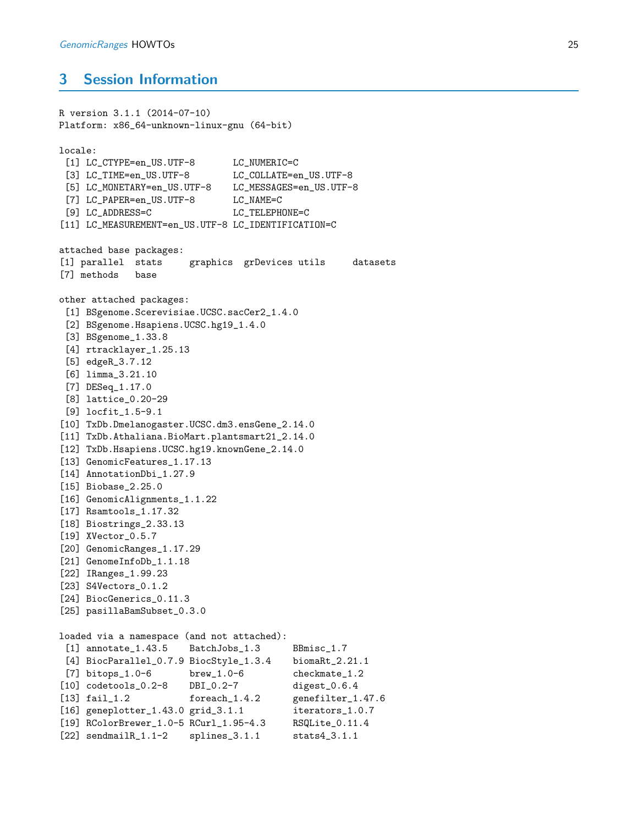## 3 Session Information

R version 3.1.1 (2014-07-10)

```
Platform: x86_64-unknown-linux-gnu (64-bit)
locale:
 [1] LC_CTYPE=en_US.UTF-8 LC_NUMERIC=C
 [3] LC_TIME=en_US.UTF-8 LC_COLLATE=en_US.UTF-8
 [5] LC_MONETARY=en_US.UTF-8 LC_MESSAGES=en_US.UTF-8
 [7] LC_PAPER=en_US.UTF-8 LC_NAME=C
 [9] LC_ADDRESS=C LC_TELEPHONE=C
[11] LC_MEASUREMENT=en_US.UTF-8 LC_IDENTIFICATION=C
attached base packages:
[1] parallel stats graphics grDevices utils datasets
[7] methods base
other attached packages:
 [1] BSgenome.Scerevisiae.UCSC.sacCer2_1.4.0
 [2] BSgenome.Hsapiens.UCSC.hg19_1.4.0
 [3] BSgenome_1.33.8
 [4] rtracklayer_1.25.13
 [5] edgeR_3.7.12
 [6] limma_3.21.10
 [7] DESeq_1.17.0
 [8] lattice_0.20-29
 [9] locfit_1.5-9.1
[10] TxDb.Dmelanogaster.UCSC.dm3.ensGene_2.14.0
[11] TxDb.Athaliana.BioMart.plantsmart21_2.14.0
[12] TxDb.Hsapiens.UCSC.hg19.knownGene_2.14.0
[13] GenomicFeatures_1.17.13
[14] AnnotationDbi_1.27.9
[15] Biobase_2.25.0
[16] GenomicAlignments_1.1.22
[17] Rsamtools_1.17.32
[18] Biostrings_2.33.13
[19] XVector_0.5.7
[20] GenomicRanges_1.17.29
[21] GenomeInfoDb_1.1.18
[22] IRanges_1.99.23
[23] S4Vectors_0.1.2
[24] BiocGenerics 0.11.3
[25] pasillaBamSubset_0.3.0
loaded via a namespace (and not attached):
 [1] annotate_1.43.5 BatchJobs_1.3 BBmisc_1.7
 [4] BiocParallel_0.7.9 BiocStyle_1.3.4 biomaRt_2.21.1
 [7] bitops_1.0-6 brew_1.0-6 checkmate_1.2
[10] codetools_0.2-8 DBI_0.2-7 digest_0.6.4
[13] fail_1.2 foreach_1.4.2 genefilter_1.47.6
[16] geneplotter_1.43.0 grid_3.1.1 iterators_1.0.7
[19] RColorBrewer_1.0-5 RCurl_1.95-4.3 RSQLite_0.11.4
[22] sendmailR_1.1-2 splines_3.1.1 stats4_3.1.1
```